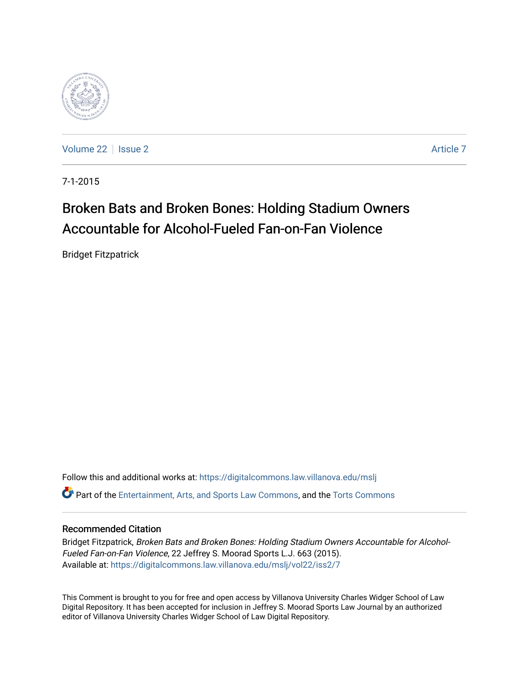

[Volume 22](https://digitalcommons.law.villanova.edu/mslj/vol22) | [Issue 2](https://digitalcommons.law.villanova.edu/mslj/vol22/iss2) Article 7

7-1-2015

# Broken Bats and Broken Bones: Holding Stadium Owners Accountable for Alcohol-Fueled Fan-on-Fan Violence

Bridget Fitzpatrick

Follow this and additional works at: [https://digitalcommons.law.villanova.edu/mslj](https://digitalcommons.law.villanova.edu/mslj?utm_source=digitalcommons.law.villanova.edu%2Fmslj%2Fvol22%2Fiss2%2F7&utm_medium=PDF&utm_campaign=PDFCoverPages) Part of the [Entertainment, Arts, and Sports Law Commons](http://network.bepress.com/hgg/discipline/893?utm_source=digitalcommons.law.villanova.edu%2Fmslj%2Fvol22%2Fiss2%2F7&utm_medium=PDF&utm_campaign=PDFCoverPages), and the [Torts Commons](http://network.bepress.com/hgg/discipline/913?utm_source=digitalcommons.law.villanova.edu%2Fmslj%2Fvol22%2Fiss2%2F7&utm_medium=PDF&utm_campaign=PDFCoverPages)

# Recommended Citation

Bridget Fitzpatrick, Broken Bats and Broken Bones: Holding Stadium Owners Accountable for Alcohol-Fueled Fan-on-Fan Violence, 22 Jeffrey S. Moorad Sports L.J. 663 (2015). Available at: [https://digitalcommons.law.villanova.edu/mslj/vol22/iss2/7](https://digitalcommons.law.villanova.edu/mslj/vol22/iss2/7?utm_source=digitalcommons.law.villanova.edu%2Fmslj%2Fvol22%2Fiss2%2F7&utm_medium=PDF&utm_campaign=PDFCoverPages) 

This Comment is brought to you for free and open access by Villanova University Charles Widger School of Law Digital Repository. It has been accepted for inclusion in Jeffrey S. Moorad Sports Law Journal by an authorized editor of Villanova University Charles Widger School of Law Digital Repository.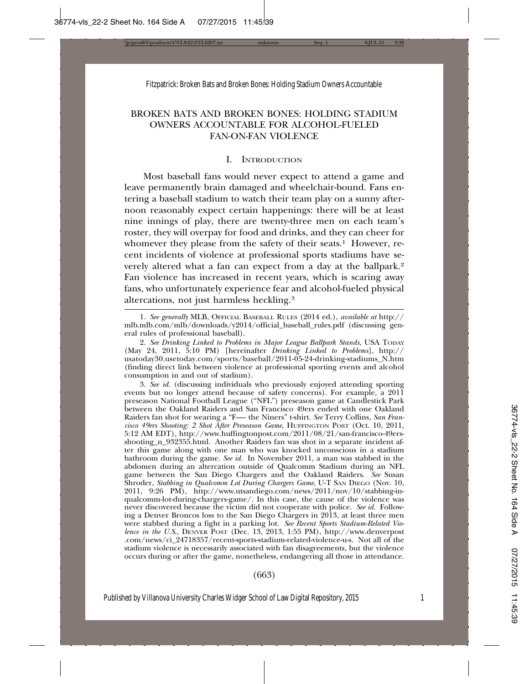## BROKEN BATS AND BROKEN BONES: HOLDING STADIUM OWNERS ACCOUNTABLE FOR ALCOHOL-FUELED FAN-ON-FAN VIOLENCE

### I. INTRODUCTION

Most baseball fans would never expect to attend a game and leave permanently brain damaged and wheelchair-bound. Fans entering a baseball stadium to watch their team play on a sunny afternoon reasonably expect certain happenings: there will be at least nine innings of play, there are twenty-three men on each team's roster, they will overpay for food and drinks, and they can cheer for whomever they please from the safety of their seats.<sup>1</sup> However, recent incidents of violence at professional sports stadiums have severely altered what a fan can expect from a day at the ballpark.2 Fan violence has increased in recent years, which is scaring away fans, who unfortunately experience fear and alcohol-fueled physical altercations, not just harmless heckling.3

3. *See id.* (discussing individuals who previously enjoyed attending sporting events but no longer attend because of safety concerns). For example, a 2011 preseason National Football League ("NFL") preseason game at Candlestick Park between the Oakland Raiders and San Francisco 49ers ended with one Oakland Raiders fan shot for wearing a "F—- the Niners" t-shirt. *See* Terry Collins, *San Francisco 49ers Shooting: 2 Shot After Preseason Game*, HUFFINGTON POST (Oct. 10, 2011, 5:12 AM EDT), http://www.huffingtonpost.com/2011/08/21/san-francisco-49ersshooting\_n\_932355.html. Another Raiders fan was shot in a separate incident after this game along with one man who was knocked unconscious in a stadium bathroom during the game. *See id.* In November 2011, a man was stabbed in the abdomen during an altercation outside of Qualcomm Stadium during an NFL game between the San Diego Chargers and the Oakland Raiders. *See* Susan Shroder, *Stabbing in Qualcomm Lot During Chargers Game*, U-T SAN DIEGO (Nov. 10, 2011, 9:26 PM), http://www.utsandiego.com/news/2011/nov/10/stabbing-inqualcomm-lot-during-chargers-game/. In this case, the cause of the violence was never discovered because the victim did not cooperate with police. *See id.* Following a Denver Broncos loss to the San Diego Chargers in 2013, at least three men were stabbed during a fight in a parking lot. *See Recent Sports Stadium-Related Violence in the U.S.*, DENVER POST (Dec. 13, 2013, 1:55 PM), http://www.denverpost .com/news/ci\_24718357/recent-sports-stadium-related-violence-u-s. Not all of the stadium violence is necessarily associated with fan disagreements, but the violence occurs during or after the game, nonetheless, endangering all those in attendance.

#### (663)

<sup>1.</sup> *See generally* MLB, OFFICIAL BASEBALL RULES (2014 ed.), *available at* http:// mlb.mlb.com/mlb/downloads/y2014/official\_baseball\_rules.pdf (discussing general rules of professional baseball).

<sup>2.</sup> *See Drinking Linked to Problems in Major League Ballpark Stands*, USA TODAY (May 24, 2011, 5:10 PM) [hereinafter *Drinking Linked to Problems*], http:// usatoday30.usetoday.com/sports/baseball/2011-05-24-drinking-stadiums\_N.htm (finding direct link between violence at professional sporting events and alcohol consumption in and out of stadium).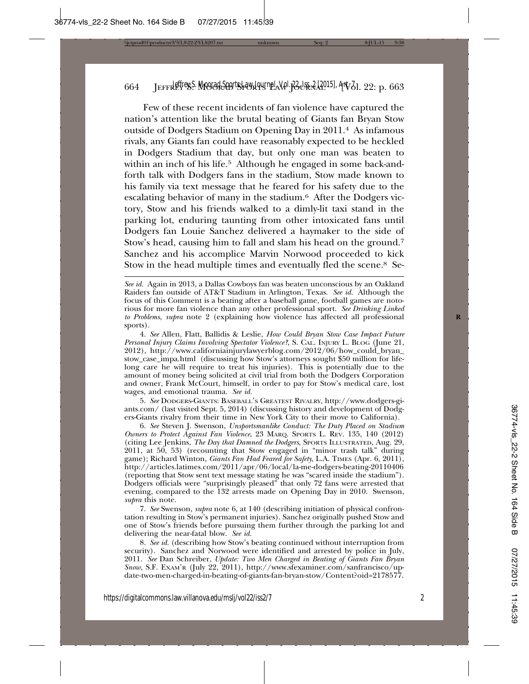Few of these recent incidents of fan violence have captured the nation's attention like the brutal beating of Giants fan Bryan Stow outside of Dodgers Stadium on Opening Day in 2011.4 As infamous rivals, any Giants fan could have reasonably expected to be heckled in Dodgers Stadium that day, but only one man was beaten to within an inch of his life.<sup>5</sup> Although he engaged in some back-andforth talk with Dodgers fans in the stadium, Stow made known to his family via text message that he feared for his safety due to the escalating behavior of many in the stadium.6 After the Dodgers victory, Stow and his friends walked to a dimly-lit taxi stand in the parking lot, enduring taunting from other intoxicated fans until Dodgers fan Louie Sanchez delivered a haymaker to the side of Stow's head, causing him to fall and slam his head on the ground.7 Sanchez and his accomplice Marvin Norwood proceeded to kick Stow in the head multiple times and eventually fled the scene.8 Se-

4. *See* Allen, Flatt, Ballidis & Leslie, *How Could Bryan Stow Case Impact Future Personal Injury Claims Involving Spectator Violence?*, S. CAL. INJURY L. BLOG (June 21, 2012), http://www.californiainjurylawyerblog.com/2012/06/how\_could\_bryan\_ stow\_case\_impa.html (discussing how Stow's attorneys sought \$50 million for lifelong care he will require to treat his injuries). This is potentially due to the amount of money being solicited at civil trial from both the Dodgers Corporation and owner, Frank McCourt, himself, in order to pay for Stow's medical care, lost wages, and emotional trauma. *See id.*

5. *See* DODGERS-GIANTS: BASEBALL'S GREATEST RIVALRY, http://www.dodgers-giants.com/ (last visited Sept. 5, 2014) (discussing history and development of Dodgers-Giants rivalry from their time in New York City to their move to California).

6. *See* Steven J. Swenson, *Unsportsmanlike Conduct: The Duty Placed on Stadium Owners to Protect Against Fan Violence*, 23 MARQ. SPORTS L. REV. 135, 140 (2012) (citing Lee Jenkins, *The Day that Damned the Dodgers*, SPORTS ILLUSTRATED, Aug. 29, 2011, at 50, 53) (recounting that Stow engaged in "minor trash talk" during game); Richard Winton, *Giants Fan Had Feared for Safety*, L.A. TIMES (Apr. 6, 2011), http://articles.latimes.com/2011/apr/06/local/la-me-dodgers-beating-20110406 (reporting that Stow sent text message stating he was "scared inside the stadium"). Dodgers officials were "surprisingly pleased" that only 72 fans were arrested that evening, compared to the 132 arrests made on Opening Day in 2010. Swenson, *supra* this note.

7. *See* Swenson, *supra* note 6, at 140 (describing initiation of physical confrontation resulting in Stow's permanent injuries). Sanchez originally pushed Stow and one of Stow's friends before pursuing them further through the parking lot and delivering the near-fatal blow. *See id.*

8. *See id.* (describing how Stow's beating continued without interruption from security). Sanchez and Norwood were identified and arrested by police in July, 2011. *See* Dan Schreiber, *Update: Two Men Charged in Beating of Giants Fan Bryan Snow*, S.F. EXAM'R (July 22, 2011), http://www.sfexaminer.com/sanfrancisco/update-two-men-charged-in-beating-of-giants-fan-bryan-stow/Content?oid=2178577.

*See id.* Again in 2013, a Dallas Cowboys fan was beaten unconscious by an Oakland Raiders fan outside of AT&T Stadium in Arlington, Texas. *See id.* Although the focus of this Comment is a beating after a baseball game, football games are notorious for more fan violence than any other professional sport. *See Drinking Linked to Problems*, *supra* note 2 (explaining how violence has affected all professional **R** sports).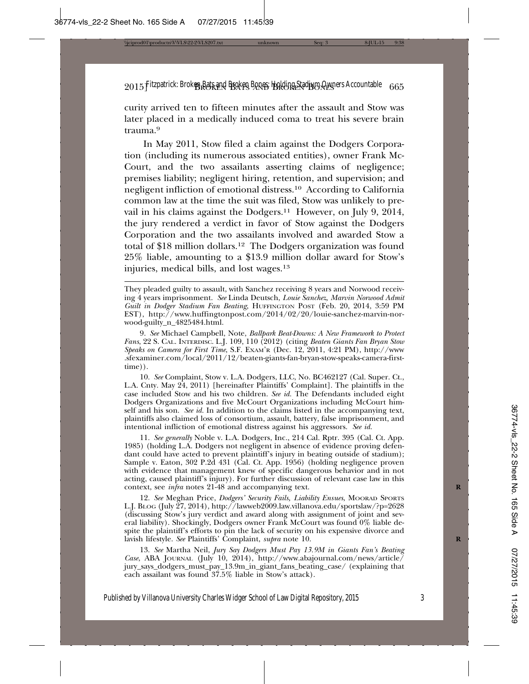curity arrived ten to fifteen minutes after the assault and Stow was later placed in a medically induced coma to treat his severe brain trauma.9

In May 2011, Stow filed a claim against the Dodgers Corporation (including its numerous associated entities), owner Frank Mc-Court, and the two assailants asserting claims of negligence; premises liability; negligent hiring, retention, and supervision; and negligent infliction of emotional distress.10 According to California common law at the time the suit was filed, Stow was unlikely to prevail in his claims against the Dodgers.11 However, on July 9, 2014, the jury rendered a verdict in favor of Stow against the Dodgers Corporation and the two assailants involved and awarded Stow a total of \$18 million dollars.12 The Dodgers organization was found 25% liable, amounting to a \$13.9 million dollar award for Stow's injuries, medical bills, and lost wages.<sup>13</sup>

9. *See* Michael Campbell, Note, *Ballpark Beat-Downs: A New Framework to Protect Fans*, 22 S. CAL. INTERDISC. L.J. 109, 110 (2012) (citing *Beaten Giants Fan Bryan Stow Speaks on Camera for First Time*, S.F. EXAM'R (Dec. 12, 2011, 4:21 PM), http://www .sfexaminer.com/local/2011/12/beaten-giants-fan-bryan-stow-speaks-camera-firsttime)).

10. *See* Complaint, Stow v. L.A. Dodgers, LLC, No. BC462127 (Cal. Super. Ct., L.A. Cnty. May 24, 2011) [hereinafter Plaintiffs' Complaint]. The plaintiffs in the case included Stow and his two children. *See id.* The Defendants included eight Dodgers Organizations and five McCourt Organizations including McCourt himself and his son. *See id.* In addition to the claims listed in the accompanying text, plaintiffs also claimed loss of consortium, assault, battery, false imprisonment, and intentional infliction of emotional distress against his aggressors. *See id.*

11. *See generally* Noble v. L.A. Dodgers, Inc., 214 Cal. Rptr. 395 (Cal. Ct. App. 1985) (holding L.A. Dodgers not negligent in absence of evidence proving defendant could have acted to prevent plaintiff's injury in beating outside of stadium); Sample v. Eaton, 302 P.2d 431 (Cal. Ct. App. 1956) (holding negligence proven with evidence that management knew of specific dangerous behavior and in not acting, caused plaintiff's injury). For further discussion of relevant case law in this context, see *infra* notes 21-48 and accompanying text. **R**

12. *See* Meghan Price, *Dodgers' Security Fails, Liability Ensues*, MOORAD SPORTS L.J. BLOG (July 27, 2014), http://lawweb2009.law.villanova.edu/sportslaw/?p=2628 (discussing Stow's jury verdict and award along with assignment of joint and several liability). Shockingly, Dodgers owner Frank McCourt was found 0% liable despite the plaintiff's efforts to pin the lack of security on his expensive divorce and lavish lifestyle. See Plaintiffs' Complaint, *supra* note 10.

13. *See* Martha Neil, *Jury Say Dodgers Must Pay 13.9M in Giants Fan's Beating Case*, ABA JOURNAL (July 10, 2014), http://www.abajournal.com/news/article/ jury\_says\_dodgers\_must\_pay\_13.9m\_in\_giant\_fans\_beating\_case/ (explaining that each assailant was found 37.5% liable in Stow's attack).

They pleaded guilty to assault, with Sanchez receiving 8 years and Norwood receiving 4 years imprisonment. *See* Linda Deutsch, *Louie Sanchez, Marvin Norwood Admit Guilt in Dodger Stadium Fan Beating*, HUFFINGTON POST (Feb. 20, 2014, 3:59 PM EST), http://www.huffingtonpost.com/2014/02/20/louie-sanchez-marvin-norwood-guilty\_n\_4825484.html.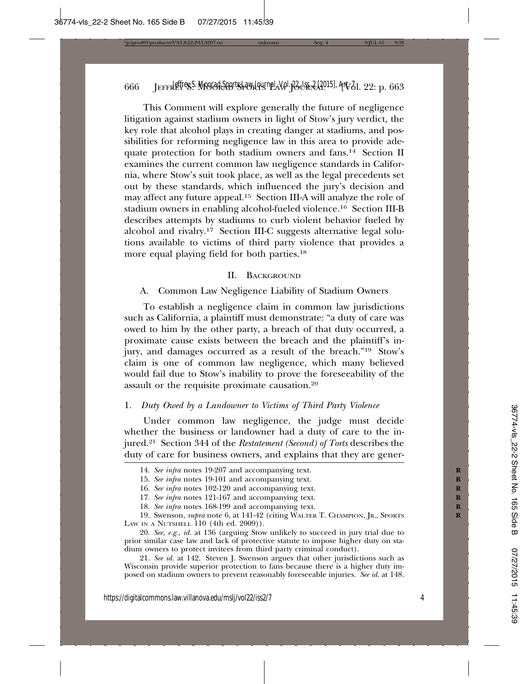This Comment will explore generally the future of negligence litigation against stadium owners in light of Stow's jury verdict, the key role that alcohol plays in creating danger at stadiums, and possibilities for reforming negligence law in this area to provide adequate protection for both stadium owners and fans.14 Section II examines the current common law negligence standards in California, where Stow's suit took place, as well as the legal precedents set out by these standards, which influenced the jury's decision and may affect any future appeal.15 Section III-A will analyze the role of stadium owners in enabling alcohol-fueled violence.16 Section III-B describes attempts by stadiums to curb violent behavior fueled by alcohol and rivalry.17 Section III-C suggests alternative legal solutions available to victims of third party violence that provides a more equal playing field for both parties.18

#### II. BACKGROUND

A. Common Law Negligence Liability of Stadium Owners

To establish a negligence claim in common law jurisdictions such as California, a plaintiff must demonstrate: "a duty of care was owed to him by the other party, a breach of that duty occurred, a proximate cause exists between the breach and the plaintiff's injury, and damages occurred as a result of the breach."19 Stow's claim is one of common law negligence, which many believed would fail due to Stow's inability to prove the foreseeability of the assault or the requisite proximate causation.20

#### 1. *Duty Owed by a Landowner to Victims of Third Party Violence*

Under common law negligence, the judge must decide whether the business or landowner had a duty of care to the injured.21 Section 344 of the *Restatement (Second) of Torts* describes the duty of care for business owners, and explains that they are gener-

<sup>14.</sup> *See infra* notes 19-207 and accompanying text.

<sup>15.</sup> *See infra* notes 19-101 and accompanying text. **R**

<sup>16.</sup> *See infra* notes 102-120 and accompanying text. **R**

<sup>17.</sup> *See infra* notes 121-167 and accompanying text. **R**

<sup>18.</sup> See infra notes 168-199 and accompanying text.

<sup>19.</sup> Swenson, *supra* note 6, at 141-42 (citing WALTER T. CHAMPION, JR., SPORTS LAW IN A NUTSHELL  $110$  (4th ed. 2009)).

<sup>20.</sup> *See, e.g.*, *id.* at 136 (arguing Stow unlikely to succeed in jury trial due to prior similar case law and lack of protective statute to impose higher duty on stadium owners to protect invitees from third party criminal conduct).

<sup>21.</sup> *See id.* at 142. Steven J. Swenson argues that other jurisdictions such as Wisconsin provide superior protection to fans because there is a higher duty imposed on stadium owners to prevent reasonably foreseeable injuries. *See id.* at 148.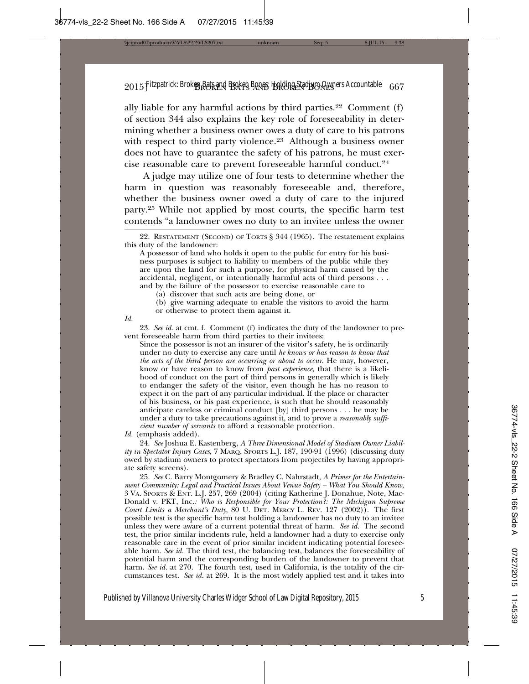ally liable for any harmful actions by third parties. $22$  Comment (f) of section 344 also explains the key role of foreseeability in determining whether a business owner owes a duty of care to his patrons with respect to third party violence.<sup>23</sup> Although a business owner does not have to guarantee the safety of his patrons, he must exercise reasonable care to prevent foreseeable harmful conduct.24

A judge may utilize one of four tests to determine whether the harm in question was reasonably foreseeable and, therefore, whether the business owner owed a duty of care to the injured party.25 While not applied by most courts, the specific harm test contends "a landowner owes no duty to an invitee unless the owner

(a) discover that such acts are being done, or

(b) give warning adequate to enable the visitors to avoid the harm or otherwise to protect them against it.

*Id.*

23. *See id.* at cmt. f. Comment (f) indicates the duty of the landowner to prevent foreseeable harm from third parties to their invitees:

Since the possessor is not an insurer of the visitor's safety, he is ordinarily under no duty to exercise any care until *he knows or has reason to know that the acts of the third person are occurring or about to occur*. He may, however, know or have reason to know from *past experience*, that there is a likelihood of conduct on the part of third persons in generally which is likely to endanger the safety of the visitor, even though he has no reason to expect it on the part of any particular individual. If the place or character of his business, or his past experience, is such that he should reasonably anticipate careless or criminal conduct [by] third persons . . . he may be under a duty to take precautions against it, and to prove a *reasonably sufficient number of servants* to afford a reasonable protection.

*Id.* (emphasis added).

24. *See* Joshua E. Kastenberg, *A Three Dimensional Model of Stadium Owner Liability in Spectator Injury Cases*, 7 MARQ. SPORTS L.J. 187, 190-91 (1996) (discussing duty owed by stadium owners to protect spectators from projectiles by having appropriate safety screens).

25. *See* C. Barry Montgomery & Bradley C. Nahrstadt, *A Primer for the Entertainment Community: Legal and Practical Issues About Venue Safety – What You Should Know*, 3 VA. SPORTS & ENT. L.J. 257, 269 (2004) (citing Katherine J. Donahue, Note, Mac-Donald v. PKT, Inc.*: Who is Responsible for Your Protection?: The Michigan Supreme Court Limits a Merchant's Duty*, 80 U. DET. MERCY L. REV. 127 (2002)). The first possible test is the specific harm test holding a landowner has no duty to an invitee unless they were aware of a current potential threat of harm. *See id.* The second test, the prior similar incidents rule, held a landowner had a duty to exercise only reasonable care in the event of prior similar incident indicating potential foreseeable harm. *See id.* The third test, the balancing test, balances the foreseeability of potential harm and the corresponding burden of the landowner to prevent that harm. See id. at 270. The fourth test, used in California, is the totality of the circumstances test. *See id.* at 269. It is the most widely applied test and it takes into

<sup>22.</sup> RESTATEMENT (SECOND) OF TORTS § 344 (1965). The restatement explains this duty of the landowner:

A possessor of land who holds it open to the public for entry for his business purposes is subject to liability to members of the public while they are upon the land for such a purpose, for physical harm caused by the accidental, negligent, or intentionally harmful acts of third persons . . . and by the failure of the possessor to exercise reasonable care to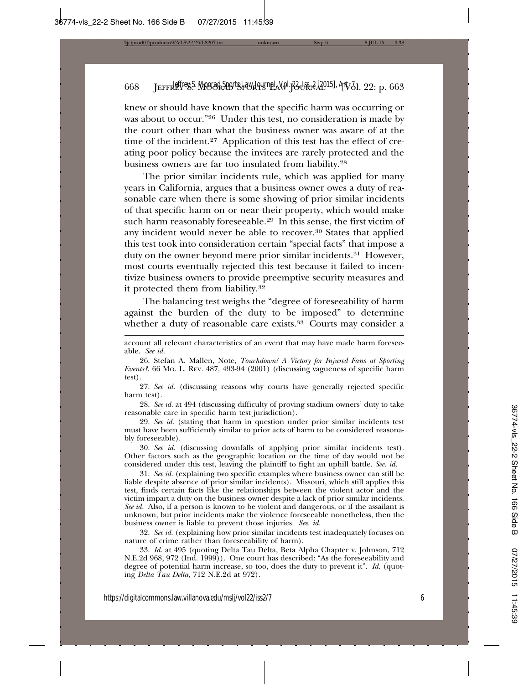knew or should have known that the specific harm was occurring or was about to occur."26 Under this test, no consideration is made by the court other than what the business owner was aware of at the time of the incident.<sup>27</sup> Application of this test has the effect of creating poor policy because the invitees are rarely protected and the business owners are far too insulated from liability.28

The prior similar incidents rule, which was applied for many years in California, argues that a business owner owes a duty of reasonable care when there is some showing of prior similar incidents of that specific harm on or near their property, which would make such harm reasonably foreseeable.29 In this sense, the first victim of any incident would never be able to recover.<sup>30</sup> States that applied this test took into consideration certain "special facts" that impose a duty on the owner beyond mere prior similar incidents.31 However, most courts eventually rejected this test because it failed to incentivize business owners to provide preemptive security measures and it protected them from liability.32

The balancing test weighs the "degree of foreseeability of harm against the burden of the duty to be imposed" to determine whether a duty of reasonable care exists.<sup>33</sup> Courts may consider a

27. *See id.* (discussing reasons why courts have generally rejected specific harm test).

28. *See id.* at 494 (discussing difficulty of proving stadium owners' duty to take reasonable care in specific harm test jurisdiction).

29. *See id.* (stating that harm in question under prior similar incidents test must have been sufficiently similar to prior acts of harm to be considered reasonably foreseeable).

30. *See id.* (discussing downfalls of applying prior similar incidents test). Other factors such as the geographic location or the time of day would not be considered under this test, leaving the plaintiff to fight an uphill battle. *See. id.*

31. *See id.* (explaining two specific examples where business owner can still be liable despite absence of prior similar incidents). Missouri, which still applies this test, finds certain facts like the relationships between the violent actor and the victim impart a duty on the business owner despite a lack of prior similar incidents. *See id.* Also, if a person is known to be violent and dangerous, or if the assailant is unknown, but prior incidents make the violence foreseeable nonetheless, then the business owner is liable to prevent those injuries. *See. id.*

32. *See id.* (explaining how prior similar incidents test inadequately focuses on nature of crime rather than foreseeability of harm).

33. *Id.* at 495 (quoting Delta Tau Delta, Beta Alpha Chapter v. Johnson, 712 N.E.2d 968, 972 (Ind. 1999)). One court has described: "As the foreseeability and degree of potential harm increase, so too, does the duty to prevent it". *Id.* (quoting *Delta Tau Delta*, 712 N.E.2d at 972).

account all relevant characteristics of an event that may have made harm foreseeable. *See id.*

<sup>26.</sup> Stefan A. Mallen, Note, *Touchdown! A Victory for Injured Fans at Sporting Events?*, 66 MO. L. REV. 487, 493-94 (2001) (discussing vagueness of specific harm test).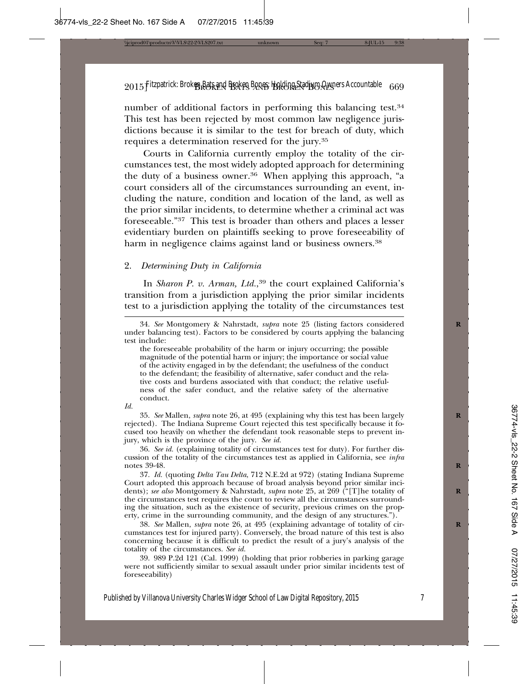number of additional factors in performing this balancing test.34 This test has been rejected by most common law negligence jurisdictions because it is similar to the test for breach of duty, which requires a determination reserved for the jury.35

Courts in California currently employ the totality of the circumstances test, the most widely adopted approach for determining the duty of a business owner.<sup>36</sup> When applying this approach, "a court considers all of the circumstances surrounding an event, including the nature, condition and location of the land, as well as the prior similar incidents, to determine whether a criminal act was foreseeable."37 This test is broader than others and places a lesser evidentiary burden on plaintiffs seeking to prove foreseeability of harm in negligence claims against land or business owners.<sup>38</sup>

#### 2. *Determining Duty in California*

In *Sharon P. v. Arman, Ltd.*, 39 the court explained California's transition from a jurisdiction applying the prior similar incidents test to a jurisdiction applying the totality of the circumstances test

the foreseeable probability of the harm or injury occurring; the possible magnitude of the potential harm or injury; the importance or social value of the activity engaged in by the defendant; the usefulness of the conduct to the defendant; the feasibility of alternative, safer conduct and the relative costs and burdens associated with that conduct; the relative usefulness of the safer conduct, and the relative safety of the alternative conduct.

*Id.*

35. *See* Mallen, *supra* note 26, at 495 (explaining why this test has been largely **R** rejected). The Indiana Supreme Court rejected this test specifically because it focused too heavily on whether the defendant took reasonable steps to prevent injury, which is the province of the jury. *See id.*

36. *See id.* (explaining totality of circumstances test for duty). For further discussion of the totality of the circumstances test as applied in California, see *infra* notes 39-48.

37. *Id.* (quoting *Delta Tau Delta*, 712 N.E.2d at 972) (stating Indiana Supreme Court adopted this approach because of broad analysis beyond prior similar incidents); *see also* Montgomery & Nahrstadt, *supra* note 25, at 269 ("[T]he totality of **R** the circumstances test requires the court to review all the circumstances surrounding the situation, such as the existence of security, previous crimes on the property, crime in the surrounding community, and the design of any structures.").

38. *See* Mallen, *supra* note 26, at 495 (explaining advantage of totality of cir- **R** cumstances test for injured party). Conversely, the broad nature of this test is also concerning because it is difficult to predict the result of a jury's analysis of the totality of the circumstances. *See id.*

39. 989 P.2d 121 (Cal. 1999) (holding that prior robberies in parking garage were not sufficiently similar to sexual assault under prior similar incidents test of foreseeability)

<sup>34.</sup> *See* Montgomery & Nahrstadt, *supra* note 25 (listing factors considered **R** under balancing test). Factors to be considered by courts applying the balancing test include: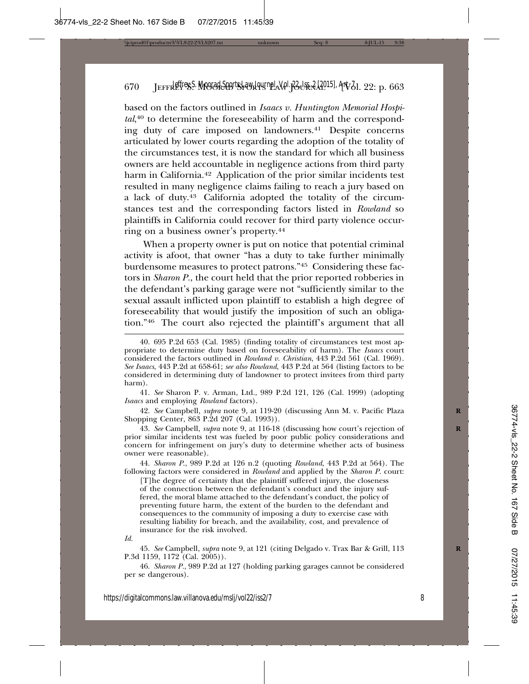based on the factors outlined in *Isaacs v. Huntington Memorial Hospi*tal,<sup>40</sup> to determine the foreseeability of harm and the corresponding duty of care imposed on landowners.41 Despite concerns articulated by lower courts regarding the adoption of the totality of the circumstances test, it is now the standard for which all business owners are held accountable in negligence actions from third party harm in California.<sup>42</sup> Application of the prior similar incidents test resulted in many negligence claims failing to reach a jury based on a lack of duty.43 California adopted the totality of the circumstances test and the corresponding factors listed in *Rowland* so plaintiffs in California could recover for third party violence occurring on a business owner's property.44

When a property owner is put on notice that potential criminal activity is afoot, that owner "has a duty to take further minimally burdensome measures to protect patrons."45 Considering these factors in *Sharon P.*, the court held that the prior reported robberies in the defendant's parking garage were not "sufficiently similar to the sexual assault inflicted upon plaintiff to establish a high degree of foreseeability that would justify the imposition of such an obligation."46 The court also rejected the plaintiff's argument that all

41. *See* Sharon P. v. Arman, Ltd., 989 P.2d 121, 126 (Cal. 1999) (adopting *Isaacs* and employing *Rowland* factors).

42. *See* Campbell*, supra* note 9, at 119-20 (discussing Ann M. v. Pacific Plaza **R** Shopping Center, 863 P.2d 207 (Cal. 1993)).

43. *See* Campbell, *supra* note 9, at 116-18 (discussing how court's rejection of **R** prior similar incidents test was fueled by poor public policy considerations and concern for infringement on jury's duty to determine whether acts of business owner were reasonable).

44. *Sharon P*., 989 P.2d at 126 n.2 (quoting *Rowland*, 443 P.2d at 564). The following factors were considered in *Rowland* and applied by the *Sharon P.* court:

[T]he degree of certainty that the plaintiff suffered injury, the closeness of the connection between the defendant's conduct and the injury suffered, the moral blame attached to the defendant's conduct, the policy of preventing future harm, the extent of the burden to the defendant and consequences to the community of imposing a duty to exercise case with resulting liability for breach, and the availability, cost, and prevalence of insurance for the risk involved.

*Id.*

45. *See* Campbell, *supra* note 9, at 121 (citing Delgado v. Trax Bar & Grill, 113 **R** P.3d 1159, 1172 (Cal. 2005)).

46. *Sharon P.*, 989 P.2d at 127 (holding parking garages cannot be considered per se dangerous).

<sup>40. 695</sup> P.2d 653 (Cal. 1985) (finding totality of circumstances test most appropriate to determine duty based on foreseeability of harm). The *Isaacs* court considered the factors outlined in *Rowland v. Christian*, 443 P.2d 561 (Cal. 1969). *See Isaacs*, 443 P.2d at 658-61; *see also Rowland*, 443 P.2d at 564 (listing factors to be considered in determining duty of landowner to protect invitees from third party harm).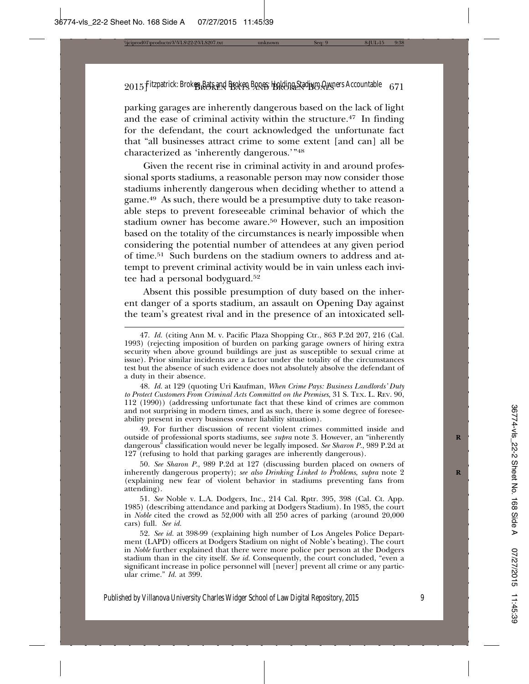parking garages are inherently dangerous based on the lack of light and the ease of criminal activity within the structure.47 In finding for the defendant, the court acknowledged the unfortunate fact that "all businesses attract crime to some extent [and can] all be characterized as 'inherently dangerous.'"48

Given the recent rise in criminal activity in and around professional sports stadiums, a reasonable person may now consider those stadiums inherently dangerous when deciding whether to attend a game.49 As such, there would be a presumptive duty to take reasonable steps to prevent foreseeable criminal behavior of which the stadium owner has become aware.50 However, such an imposition based on the totality of the circumstances is nearly impossible when considering the potential number of attendees at any given period of time.51 Such burdens on the stadium owners to address and attempt to prevent criminal activity would be in vain unless each invitee had a personal bodyguard.52

Absent this possible presumption of duty based on the inherent danger of a sports stadium, an assault on Opening Day against the team's greatest rival and in the presence of an intoxicated sell-

48. *Id.* at 129 (quoting Uri Kaufman, *When Crime Pays: Business Landlords' Duty to Protect Customers From Criminal Acts Committed on the Premises*, 31 S. TEX. L. REV. 90, 112 (1990)) (addressing unfortunate fact that these kind of crimes are common and not surprising in modern times, and as such, there is some degree of foreseeability present in every business owner liability situation).

49. For further discussion of recent violent crimes committed inside and outside of professional sports stadiums, see *supra* note 3. However, an "inherently **R** dangerous" classification would never be legally imposed. *See Sharon P.*, 989 P.2d at 127 (refusing to hold that parking garages are inherently dangerous).

50. *See Sharon P.*, 989 P.2d at 127 (discussing burden placed on owners of inherently dangerous property); *see also Drinking Linked to Problems*, *supra* note 2 (explaining new fear of violent behavior in stadiums preventing fans from attending).

51. *See* Noble v. L.A. Dodgers, Inc., 214 Cal. Rptr. 395, 398 (Cal. Ct. App. 1985) (describing attendance and parking at Dodgers Stadium). In 1985, the court in *Noble* cited the crowd as 52,000 with all 250 acres of parking (around 20,000 cars) full. *See id.*

52. *See id.* at 398-99 (explaining high number of Los Angeles Police Department (LAPD) officers at Dodgers Stadium on night of Noble's beating). The court in *Noble* further explained that there were more police per person at the Dodgers stadium than in the city itself. *See id.* Consequently, the court concluded, "even a significant increase in police personnel will [never] prevent all crime or any particular crime." *Id.* at 399.

<sup>47.</sup> *Id.* (citing Ann M. v. Pacific Plaza Shopping Ctr., 863 P.2d 207, 216 (Cal. 1993) (rejecting imposition of burden on parking garage owners of hiring extra security when above ground buildings are just as susceptible to sexual crime at issue). Prior similar incidents are a factor under the totality of the circumstances test but the absence of such evidence does not absolutely absolve the defendant of a duty in their absence.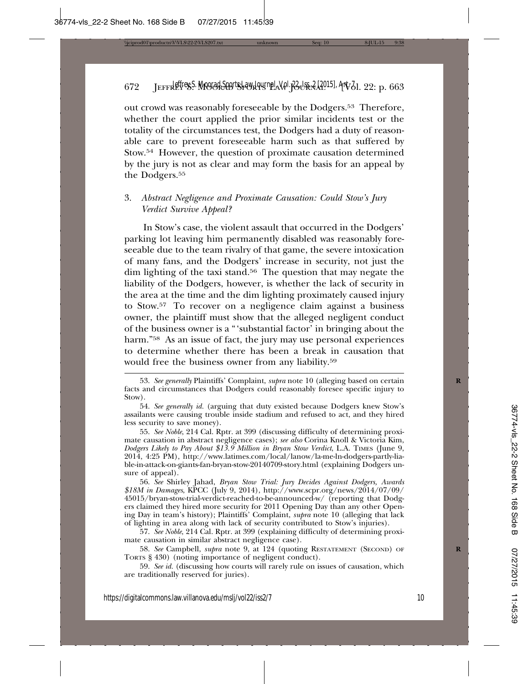out crowd was reasonably foreseeable by the Dodgers.53 Therefore, whether the court applied the prior similar incidents test or the totality of the circumstances test, the Dodgers had a duty of reasonable care to prevent foreseeable harm such as that suffered by Stow.54 However, the question of proximate causation determined by the jury is not as clear and may form the basis for an appeal by the Dodgers.<sup>55</sup>

# 3. *Abstract Negligence and Proximate Causation: Could Stow's Jury Verdict Survive Appeal?*

In Stow's case, the violent assault that occurred in the Dodgers' parking lot leaving him permanently disabled was reasonably foreseeable due to the team rivalry of that game, the severe intoxication of many fans, and the Dodgers' increase in security, not just the dim lighting of the taxi stand.56 The question that may negate the liability of the Dodgers, however, is whether the lack of security in the area at the time and the dim lighting proximately caused injury to Stow.57 To recover on a negligence claim against a business owner, the plaintiff must show that the alleged negligent conduct of the business owner is a "'substantial factor' in bringing about the harm."<sup>58</sup> As an issue of fact, the jury may use personal experiences to determine whether there has been a break in causation that would free the business owner from any liability.59

56. *See* Shirley Jahad, *Bryan Stow Trial: Jury Decides Against Dodgers, Awards \$18M in Damages*, KPCC (July 9, 2014), http://www.scpr.org/news/2014/07/09/ 45015/bryan-stow-trial-verdict-reached-to-be-announced-w/ (reporting that Dodgers claimed they hired more security for 2011 Opening Day than any other Opening Day in team's history); Plaintiffs' Complaint, *supra* note 10 (alleging that lack of lighting in area along with lack of security contributed to Stow's injuries).

57. *See Noble*, 214 Cal. Rptr. at 399 (explaining difficulty of determining proximate causation in similar abstract negligence case).

58. *See* Campbell, *supra* note 9, at 124 (quoting RESTATEMENT (SECOND) OF **R** TORTS § 430) (noting importance of negligent conduct).

59. *See id.* (discussing how courts will rarely rule on issues of causation, which are traditionally reserved for juries).

<sup>53.</sup> *See generally* Plaintiffs' Complaint, *supra* note 10 (alleging based on certain **R** facts and circumstances that Dodgers could reasonably foresee specific injury to Stow).

<sup>54.</sup> *See generally id.* (arguing that duty existed because Dodgers knew Stow's assailants were causing trouble inside stadium and refused to act, and they hired less security to save money).

<sup>55.</sup> *See Noble*, 214 Cal. Rptr. at 399 (discussing difficulty of determining proximate causation in abstract negligence cases); *see also* Corina Knoll & Victoria Kim, *Dodgers Likely to Pay About \$13.9 Million in Bryan Stow Verdict*, L.A. TIMES (June 9, 2014, 4:25 PM), http://www.latimes.com/local/lanow/la-me-ln-dodgers-partly-liable-in-attack-on-giants-fan-bryan-stow-20140709-story.html (explaining Dodgers unsure of appeal).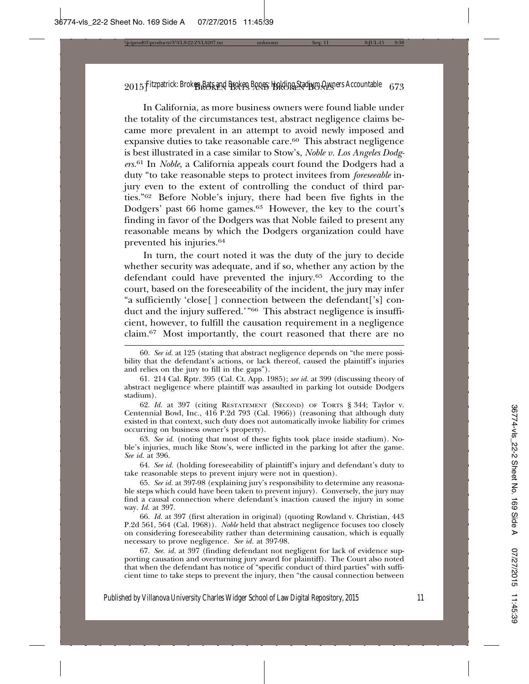In California, as more business owners were found liable under the totality of the circumstances test, abstract negligence claims became more prevalent in an attempt to avoid newly imposed and expansive duties to take reasonable care.60 This abstract negligence is best illustrated in a case similar to Stow's, *Noble v. Los Angeles Dodgers*. 61 In *Noble*, a California appeals court found the Dodgers had a duty "to take reasonable steps to protect invitees from *foreseeable* injury even to the extent of controlling the conduct of third parties."62 Before Noble's injury, there had been five fights in the Dodgers' past 66 home games.<sup>63</sup> However, the key to the court's finding in favor of the Dodgers was that Noble failed to present any reasonable means by which the Dodgers organization could have prevented his injuries.64

In turn, the court noted it was the duty of the jury to decide whether security was adequate, and if so, whether any action by the defendant could have prevented the injury.65 According to the court, based on the foreseeability of the incident, the jury may infer "a sufficiently 'close[ ] connection between the defendant['s] conduct and the injury suffered.'"66 This abstract negligence is insufficient, however, to fulfill the causation requirement in a negligence claim.67 Most importantly, the court reasoned that there are no

62. *Id.* at 397 (citing RESTATEMENT (SECOND) OF TORTS § 344; Taylor v. Centennial Bowl, Inc., 416 P.2d 793 (Cal. 1966)) (reasoning that although duty existed in that context, such duty does not automatically invoke liability for crimes occurring on business owner's property).

63. *See id.* (noting that most of these fights took place inside stadium). Noble's injuries, much like Stow's, were inflicted in the parking lot after the game. *See id.* at 396.

64. *See id.* (holding foreseeability of plaintiff's injury and defendant's duty to take reasonable steps to prevent injury were not in question).

65. *See id.* at 397-98 (explaining jury's responsibility to determine any reasonable steps which could have been taken to prevent injury). Conversely, the jury may find a causal connection where defendant's inaction caused the injury in some way. *Id.* at 397.

66. *Id.* at 397 (first alteration in original) (quoting Rowland v. Christian, 443 P.2d 561, 564 (Cal. 1968)). *Noble* held that abstract negligence focuses too closely on considering foreseeability rather than determining causation, which is equally necessary to prove negligence. *See id.* at 397-98.

67. *See. id.* at 397 (finding defendant not negligent for lack of evidence supporting causation and overturning jury award for plaintiff). The Court also noted that when the defendant has notice of "specific conduct of third parties" with sufficient time to take steps to prevent the injury, then "the causal connection between

<sup>60.</sup> *See id.* at 125 (stating that abstract negligence depends on "the mere possibility that the defendant's actions, or lack thereof, caused the plaintiff's injuries and relies on the jury to fill in the gaps").

<sup>61. 214</sup> Cal. Rptr. 395 (Cal. Ct. App. 1985); *see id.* at 399 (discussing theory of abstract negligence where plaintiff was assaulted in parking lot outside Dodgers stadium).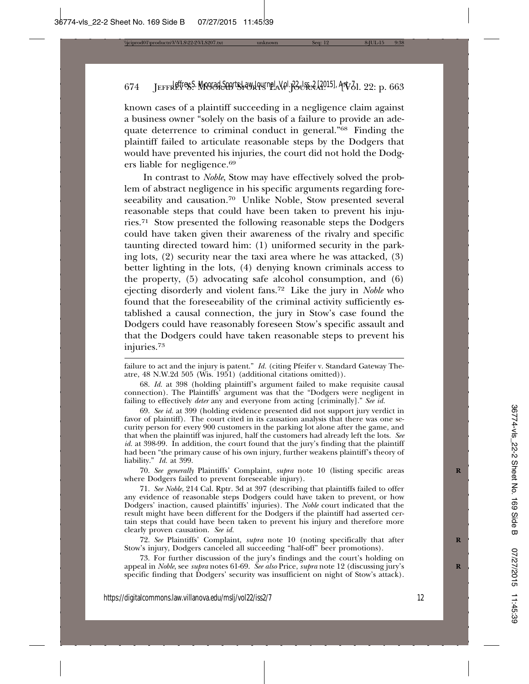known cases of a plaintiff succeeding in a negligence claim against a business owner "solely on the basis of a failure to provide an adequate deterrence to criminal conduct in general."68 Finding the plaintiff failed to articulate reasonable steps by the Dodgers that would have prevented his injuries, the court did not hold the Dodgers liable for negligence.69

In contrast to *Noble*, Stow may have effectively solved the problem of abstract negligence in his specific arguments regarding foreseeability and causation.<sup>70</sup> Unlike Noble, Stow presented several reasonable steps that could have been taken to prevent his injuries.71 Stow presented the following reasonable steps the Dodgers could have taken given their awareness of the rivalry and specific taunting directed toward him: (1) uniformed security in the parking lots, (2) security near the taxi area where he was attacked, (3) better lighting in the lots, (4) denying known criminals access to the property, (5) advocating safe alcohol consumption, and (6) ejecting disorderly and violent fans.72 Like the jury in *Noble* who found that the foreseeability of the criminal activity sufficiently established a causal connection, the jury in Stow's case found the Dodgers could have reasonably foreseen Stow's specific assault and that the Dodgers could have taken reasonable steps to prevent his injuries.73

70. *See generally* Plaintiffs' Complaint, *supra* note 10 (listing specific areas **R** where Dodgers failed to prevent foreseeable injury).

71. *See Noble*, 214 Cal. Rptr. 3d at 397 (describing that plaintiffs failed to offer any evidence of reasonable steps Dodgers could have taken to prevent, or how Dodgers' inaction, caused plaintiffs' injuries). The *Noble* court indicated that the result might have been different for the Dodgers if the plaintiff had asserted certain steps that could have been taken to prevent his injury and therefore more clearly proven causation. *See id.*

72. *See* Plaintiffs' Complaint, *supra* note 10 (noting specifically that after **R** Stow's injury, Dodgers canceled all succeeding "half-off" beer promotions).

73. For further discussion of the jury's findings and the court's holding on appeal in *Noble*, see *supra* notes 61-69. See also Price, *supra* note 12 (discussing jury's specific finding that Dodgers' security was insufficient on night of Stow's attack).

failure to act and the injury is patent." *Id.* (citing Pfeifer v. Standard Gateway Theatre, 48 N.W.2d 505 (Wis. 1951) (additional citations omitted)).

<sup>68.</sup> *Id.* at 398 (holding plaintiff's argument failed to make requisite causal connection). The Plaintiffs' argument was that the "Dodgers were negligent in failing to effectively *deter* any and everyone from acting [criminally]." *See id.*

<sup>69.</sup> *See id.* at 399 (holding evidence presented did not support jury verdict in favor of plaintiff). The court cited in its causation analysis that there was one security person for every 900 customers in the parking lot alone after the game, and that when the plaintiff was injured, half the customers had already left the lots. *See id.* at 398-99. In addition, the court found that the jury's finding that the plaintiff had been "the primary cause of his own injury, further weakens plaintiff's theory of liability." *Id.* at 399.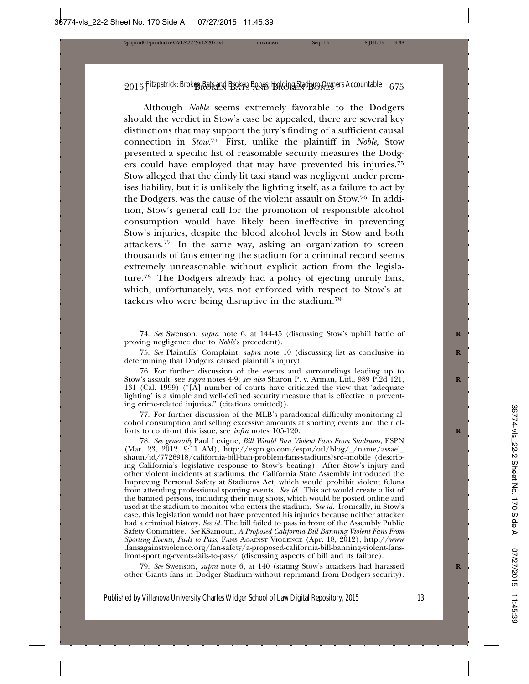Although *Noble* seems extremely favorable to the Dodgers should the verdict in Stow's case be appealed, there are several key distinctions that may support the jury's finding of a sufficient causal connection in *Stow*. 74 First, unlike the plaintiff in *Noble*, Stow presented a specific list of reasonable security measures the Dodgers could have employed that may have prevented his injuries.75 Stow alleged that the dimly lit taxi stand was negligent under premises liability, but it is unlikely the lighting itself, as a failure to act by the Dodgers, was the cause of the violent assault on Stow.76 In addition, Stow's general call for the promotion of responsible alcohol consumption would have likely been ineffective in preventing Stow's injuries, despite the blood alcohol levels in Stow and both attackers.77 In the same way, asking an organization to screen thousands of fans entering the stadium for a criminal record seems extremely unreasonable without explicit action from the legislature.78 The Dodgers already had a policy of ejecting unruly fans, which, unfortunately, was not enforced with respect to Stow's attackers who were being disruptive in the stadium.79

77. For further discussion of the MLB's paradoxical difficulty monitoring alcohol consumption and selling excessive amounts at sporting events and their efforts to confront this issue, see *infra* notes 105-120. **R**

78. *See generally* Paul Levigne, *Bill Would Ban Violent Fans From Stadiums*, ESPN (Mar. 23, 2012, 9:11 AM), http://espn.go.com/espn/otl/blog/\_/name/assael\_ shaun/id/7726918/california-bill-ban-problem-fans-stadiums?src=mobile (describing California's legislative response to Stow's beating). After Stow's injury and other violent incidents at stadiums, the California State Assembly introduced the Improving Personal Safety at Stadiums Act, which would prohibit violent felons from attending professional sporting events. *See id.* This act would create a list of the banned persons, including their mug shots, which would be posted online and used at the stadium to monitor who enters the stadium. *See id.* Ironically, in Stow's case, this legislation would not have prevented his injuries because neither attacker had a criminal history. *See id.* The bill failed to pass in front of the Assembly Public Safety Committee. *See* KSamoun, *A Proposed California Bill Banning Violent Fans From Sporting Events, Fails to Pass*, FANS AGAINST VIOLENCE (Apr. 18, 2012), http://www .fansagainstviolence.org/fan-safety/a-proposed-california-bill-banning-violent-fansfrom-sporting-events-fails-to-pass/ (discussing aspects of bill and its failure).

79. *See* Swenson, *supra* note 6, at 140 (stating Stow's attackers had harassed **R** other Giants fans in Dodger Stadium without reprimand from Dodgers security).

<sup>74.</sup> *See* Swenson, *supra* note 6, at 144-45 (discussing Stow's uphill battle of **R** proving negligence due to *Noble*'s precedent).

<sup>75.</sup> *See* Plaintiffs' Complaint, *supra* note 10 (discussing list as conclusive in **R** determining that Dodgers caused plaintiff's injury).

<sup>76.</sup> For further discussion of the events and surroundings leading up to Stow's assault, see *supra* notes 4-9; *see also* Sharon P. v. Arman, Ltd., 989 P.2d 121, **R** 131 (Cal. 1999) ("[A] number of courts have criticized the view that 'adequate lighting' is a simple and well-defined security measure that is effective in preventing crime-related injuries." (citations omitted)).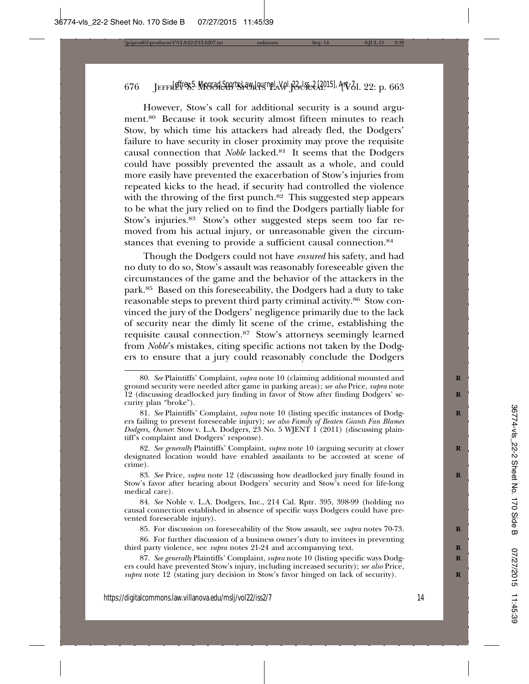However, Stow's call for additional security is a sound argument.80 Because it took security almost fifteen minutes to reach Stow, by which time his attackers had already fled, the Dodgers' failure to have security in closer proximity may prove the requisite causal connection that *Noble* lacked.81 It seems that the Dodgers could have possibly prevented the assault as a whole, and could more easily have prevented the exacerbation of Stow's injuries from repeated kicks to the head, if security had controlled the violence with the throwing of the first punch.<sup>82</sup> This suggested step appears to be what the jury relied on to find the Dodgers partially liable for Stow's injuries.83 Stow's other suggested steps seem too far removed from his actual injury, or unreasonable given the circumstances that evening to provide a sufficient causal connection.<sup>84</sup>

Though the Dodgers could not have *ensured* his safety, and had no duty to do so, Stow's assault was reasonably foreseeable given the circumstances of the game and the behavior of the attackers in the park.85 Based on this foreseeability, the Dodgers had a duty to take reasonable steps to prevent third party criminal activity.86 Stow convinced the jury of the Dodgers' negligence primarily due to the lack of security near the dimly lit scene of the crime, establishing the requisite causal connection.87 Stow's attorneys seemingly learned from *Noble*'s mistakes, citing specific actions not taken by the Dodgers to ensure that a jury could reasonably conclude the Dodgers

82. *See generally* Plaintiffs' Complaint, *supra* note 10 (arguing security at closer **R** designated location would have enabled assailants to be accosted at scene of crime).

83. *See* Price, *supra* note 12 (discussing how deadlocked jury finally found in **R** Stow's favor after hearing about Dodgers' security and Stow's need for life-long medical care).

84. *See* Noble v. L.A. Dodgers, Inc., 214 Cal. Rptr. 395, 398-99 (holding no causal connection established in absence of specific ways Dodgers could have prevented foreseeable injury).

85. For discussion on foreseeability of the Stow assault, see *supra* notes 70-73. **R**

86. For further discussion of a business owner's duty to invitees in preventing third party violence, see *supra* notes 21-24 and accompanying text.

87. See generally Plaintiffs' Complaint, *supra* note 10 (listing specific ways Dodgers could have prevented Stow's injury, including increased security); *see also* Price, *supra* note 12 (stating jury decision in Stow's favor hinged on lack of security).

<sup>80.</sup> *See* Plaintiffs' Complaint, *supra* note 10 (claiming additional mounted and **R** ground security were needed after game in parking areas); *see also* Price, *supra* note 12 (discussing deadlocked jury finding in favor of Stow after finding Dodgers' se- **R** curity plan "broke").

<sup>81.</sup> See Plaintiffs' Complaint, *supra* note 10 (listing specific instances of Dodgers failing to prevent foreseeable injury); *see also Family of Beaten Giants Fan Blames Dodgers, Owner*: Stow v. L.A. Dodgers, 23 No. 5 WJENT 1 (2011) (discussing plaintiff's complaint and Dodgers' response).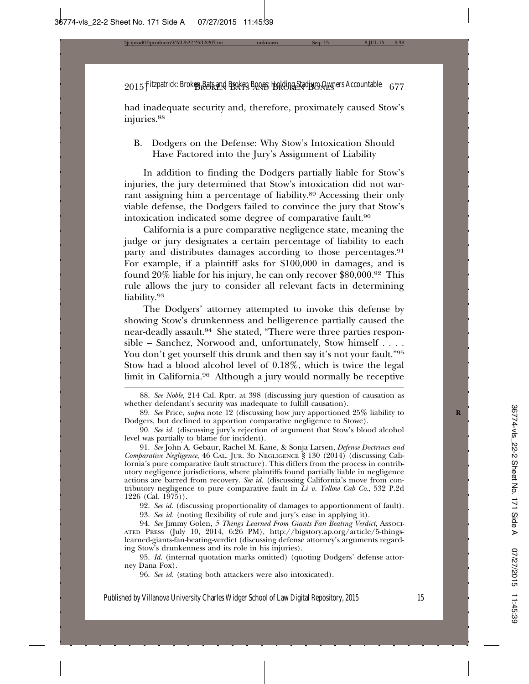had inadequate security and, therefore, proximately caused Stow's injuries.<sup>88</sup>

B. Dodgers on the Defense: Why Stow's Intoxication Should Have Factored into the Jury's Assignment of Liability

In addition to finding the Dodgers partially liable for Stow's injuries, the jury determined that Stow's intoxication did not warrant assigning him a percentage of liability.89 Accessing their only viable defense, the Dodgers failed to convince the jury that Stow's intoxication indicated some degree of comparative fault.90

California is a pure comparative negligence state, meaning the judge or jury designates a certain percentage of liability to each party and distributes damages according to those percentages.<sup>91</sup> For example, if a plaintiff asks for \$100,000 in damages, and is found 20% liable for his injury, he can only recover \$80,000.92 This rule allows the jury to consider all relevant facts in determining liability.93

The Dodgers' attorney attempted to invoke this defense by showing Stow's drunkenness and belligerence partially caused the near-deadly assault.94 She stated, "There were three parties responsible – Sanchez, Norwood and, unfortunately, Stow himself . . . . You don't get yourself this drunk and then say it's not your fault."<sup>95</sup> Stow had a blood alcohol level of 0.18%, which is twice the legal limit in California.96 Although a jury would normally be receptive

91. *See* John A. Gebaur, Rachel M. Kane, & Sonja Larsen, *Defense Doctrines and Comparative Negligence*, 46 CAL. JUR. 3D NEGLIGENCE § 130 (2014) (discussing California's pure comparative fault structure). This differs from the process in contributory negligence jurisdictions, where plaintiffs found partially liable in negligence actions are barred from recovery. *See id.* (discussing California's move from contributory negligence to pure comparative fault in *Li v. Yellow Cab Co*., 532 P.2d 1226 (Cal. 1975)).

92. *See id.* (discussing proportionality of damages to apportionment of fault).

93. *See id.* (noting flexibility of rule and jury's ease in applying it).

94. See Jimmy Golen, 5 Things Learned From Giants Fan Beating Verdict, Associ-ATED PRESS (July 10, 2014, 6:26 PM), http://bigstory.ap.org/article/5-thingslearned-giants-fan-beating-verdict (discussing defense attorney's arguments regarding Stow's drunkenness and its role in his injuries).

95. *Id.* (internal quotation marks omitted) (quoting Dodgers' defense attorney Dana Fox).

96. *See id.* (stating both attackers were also intoxicated).

<sup>88.</sup> *See Noble*, 214 Cal. Rptr. at 398 (discussing jury question of causation as whether defendant's security was inadequate to fulfill causation).

<sup>89.</sup> *See* Price, *supra* note 12 (discussing how jury apportioned 25% liability to **R** Dodgers, but declined to apportion comparative negligence to Stowe).

<sup>90.</sup> *See id.* (discussing jury's rejection of argument that Stow's blood alcohol level was partially to blame for incident).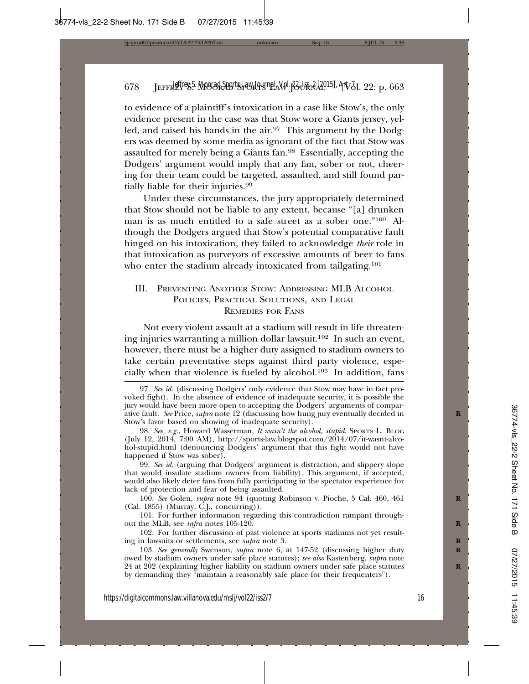to evidence of a plaintiff's intoxication in a case like Stow's, the only evidence present in the case was that Stow wore a Giants jersey, yelled, and raised his hands in the air.97 This argument by the Dodgers was deemed by some media as ignorant of the fact that Stow was assaulted for merely being a Giants fan.98 Essentially, accepting the Dodgers' argument would imply that any fan, sober or not, cheering for their team could be targeted, assaulted, and still found partially liable for their injuries.99

Under these circumstances, the jury appropriately determined that Stow should not be liable to any extent, because "[a] drunken man is as much entitled to a safe street as a sober one."100 Although the Dodgers argued that Stow's potential comparative fault hinged on his intoxication, they failed to acknowledge *their* role in that intoxication as purveyors of excessive amounts of beer to fans who enter the stadium already intoxicated from tailgating.<sup>101</sup>

## III. PREVENTING ANOTHER STOW: ADDRESSING MLB ALCOHOL POLICIES, PRACTICAL SOLUTIONS, AND LEGAL REMEDIES FOR FANS

Not every violent assault at a stadium will result in life threatening injuries warranting a million dollar lawsuit.102 In such an event, however, there must be a higher duty assigned to stadium owners to take certain preventative steps against third party violence, especially when that violence is fueled by alcohol.103 In addition, fans

101. For further information regarding this contradiction rampant throughout the MLB, see *infra* notes 105-120.

102. For further discussion of past violence at sports stadiums not yet resulting in lawsuits or settlements, see *supra* note 3. **R**

103. *See generally* Swenson, *supra* note 6, at 147-52 (discussing higher duty **R** owed by stadium owners under safe place statutes); *see also* Kastenberg, *supra* note 24 at 202 (explaining higher liability on stadium owners under safe place statutes **R** by demanding they "maintain a reasonably safe place for their frequenters").

<sup>97.</sup> *See id.* (discussing Dodgers' only evidence that Stow may have in fact provoked fight). In the absence of evidence of inadequate security, it is possible the jury would have been more open to accepting the Dodgers' arguments of comparative fault. *See* Price, *supra* note 12 (discussing how hung jury eventually decided in **R** Stow's favor based on showing of inadequate security).

<sup>98.</sup> *See, e.g.*, Howard Wasserman, *It wasn't the alcohol, stupid*, SPORTS L. BLOG (July 12, 2014, 7:00 AM), http://sports-law.blogspot.com/2014/07/it-wasnt-alcohol-stupid.html (denouncing Dodgers' argument that this fight would not have happened if Stow was sober).

<sup>99.</sup> *See id.* (arguing that Dodgers' argument is distraction, and slippery slope that would insulate stadium owners from liability). This argument, if accepted, would also likely deter fans from fully participating in the spectator experience for lack of protection and fear of being assaulted.

<sup>100.</sup> *See* Golen, *supra* note 94 (quoting Robinson v. Pioche, 5 Cal. 460, 461 **R** (Cal. 1855) (Murray, C.J., concurring)).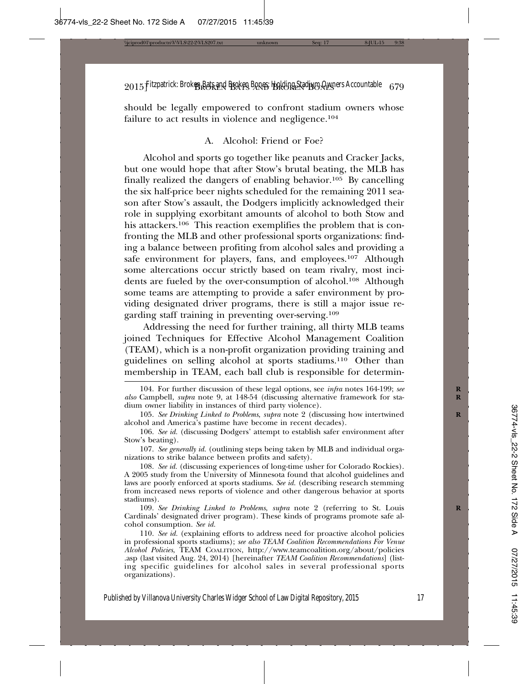should be legally empowered to confront stadium owners whose failure to act results in violence and negligence.<sup>104</sup>

## A. Alcohol: Friend or Foe?

Alcohol and sports go together like peanuts and Cracker Jacks, but one would hope that after Stow's brutal beating, the MLB has finally realized the dangers of enabling behavior.105 By cancelling the six half-price beer nights scheduled for the remaining 2011 season after Stow's assault, the Dodgers implicitly acknowledged their role in supplying exorbitant amounts of alcohol to both Stow and his attackers.106 This reaction exemplifies the problem that is confronting the MLB and other professional sports organizations: finding a balance between profiting from alcohol sales and providing a safe environment for players, fans, and employees.<sup>107</sup> Although some altercations occur strictly based on team rivalry, most incidents are fueled by the over-consumption of alcohol.108 Although some teams are attempting to provide a safer environment by providing designated driver programs, there is still a major issue regarding staff training in preventing over-serving.109

Addressing the need for further training, all thirty MLB teams joined Techniques for Effective Alcohol Management Coalition (TEAM), which is a non-profit organization providing training and guidelines on selling alcohol at sports stadiums.110 Other than membership in TEAM, each ball club is responsible for determin-

107. *See generally id.* (outlining steps being taken by MLB and individual organizations to strike balance between profits and safety).

108. *See id.* (discussing experiences of long-time usher for Colorado Rockies). A 2005 study from the University of Minnesota found that alcohol guidelines and laws are poorly enforced at sports stadiums. *See id.* (describing research stemming from increased news reports of violence and other dangerous behavior at sports stadiums).

109. See Drinking Linked to Problems, supra note 2 (referring to St. Louis Cardinals' designated driver program). These kinds of programs promote safe alcohol consumption. *See id.*

110. *See id.* (explaining efforts to address need for proactive alcohol policies in professional sports stadiums); *see also TEAM Coalition Recommendations For Venue Alcohol Policies*, TEAM COALITION, http://www.teamcoalition.org/about/policies .asp (last visited Aug. 24, 2014) [hereinafter *TEAM Coalition Recommendations*] (listing specific guidelines for alcohol sales in several professional sports organizations).

<sup>104.</sup> For further discussion of these legal options, see *infra* notes 164-199; see *also* Campbell, *supra* note 9, at 148-54 (discussing alternative framework for sta- **R** dium owner liability in instances of third party violence).

<sup>105.</sup> See Drinking Linked to Problems, *supra* note 2 (discussing how intertwined alcohol and America's pastime have become in recent decades).

<sup>106.</sup> *See id.* (discussing Dodgers' attempt to establish safer environment after Stow's beating).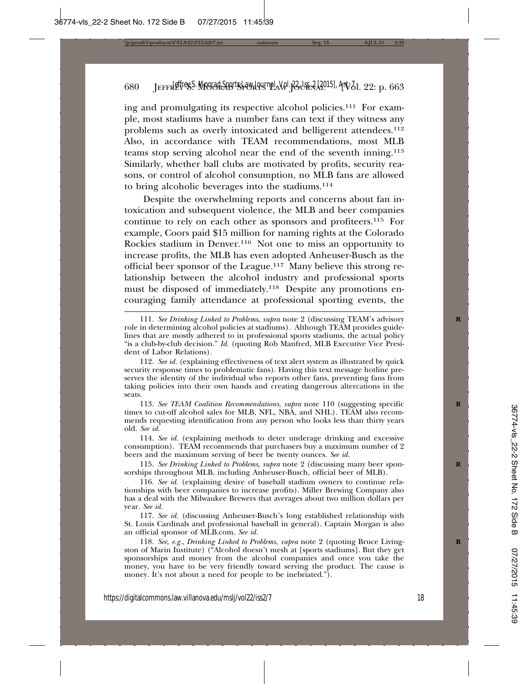ing and promulgating its respective alcohol policies.111 For example, most stadiums have a number fans can text if they witness any problems such as overly intoxicated and belligerent attendees.112 Also, in accordance with TEAM recommendations, most MLB teams stop serving alcohol near the end of the seventh inning.113 Similarly, whether ball clubs are motivated by profits, security reasons, or control of alcohol consumption, no MLB fans are allowed to bring alcoholic beverages into the stadiums.114

Despite the overwhelming reports and concerns about fan intoxication and subsequent violence, the MLB and beer companies continue to rely on each other as sponsors and profiteers.115 For example, Coors paid \$15 million for naming rights at the Colorado Rockies stadium in Denver.116 Not one to miss an opportunity to increase profits, the MLB has even adopted Anheuser-Busch as the official beer sponsor of the League.117 Many believe this strong relationship between the alcohol industry and professional sports must be disposed of immediately.<sup>118</sup> Despite any promotions encouraging family attendance at professional sporting events, the

113. See TEAM Coalition Recommendations, supra note 110 (suggesting specific times to cut-off alcohol sales for MLB, NFL, NBA, and NHL). TEAM also recommends requesting identification from any person who looks less than thirty years old. *See id.*

114. *See id.* (explaining methods to deter underage drinking and excessive consumption). TEAM recommends that purchasers buy a maximum number of 2 beers and the maximum serving of beer be twenty ounces. *See id.*

115. See Drinking Linked to Problems, supra note 2 (discussing many beer sponsorships throughout MLB, including Anheuser-Busch, official beer of MLB).

116. *See id.* (explaining desire of baseball stadium owners to continue relationships with beer companies to increase profits). Miller Brewing Company also has a deal with the Milwaukee Brewers that averages about two million dollars per year. *See id.*

117. *See id.* (discussing Anheuser-Busch's long established relationship with St. Louis Cardinals and professional baseball in general). Captain Morgan is also an official sponsor of MLB.com. *See id.*

118. See, e.g., Drinking Linked to Problems, supra note 2 (quoting Bruce Livingston of Marin Institute) ("Alcohol doesn't mesh at [sports stadiums]. But they get sponsorships and money from the alcohol companies and once you take the money, you have to be very friendly toward serving the product. The cause is money. It's not about a need for people to be inebriated.").

<sup>111.</sup> *See Drinking Linked to Problems*, *supra* note 2 (discussing TEAM's advisory **R** role in determining alcohol policies at stadiums). Although TEAM provides guidelines that are mostly adhered to in professional sports stadiums, the actual policy "is a club-by-club decision." *Id.* (quoting Rob Manfred, MLB Executive Vice President of Labor Relations).

<sup>112.</sup> *See id.* (explaining effectiveness of text alert system as illustrated by quick security response times to problematic fans). Having this text message hotline preserves the identity of the individual who reports other fans, preventing fans from taking policies into their own hands and creating dangerous altercations in the seats.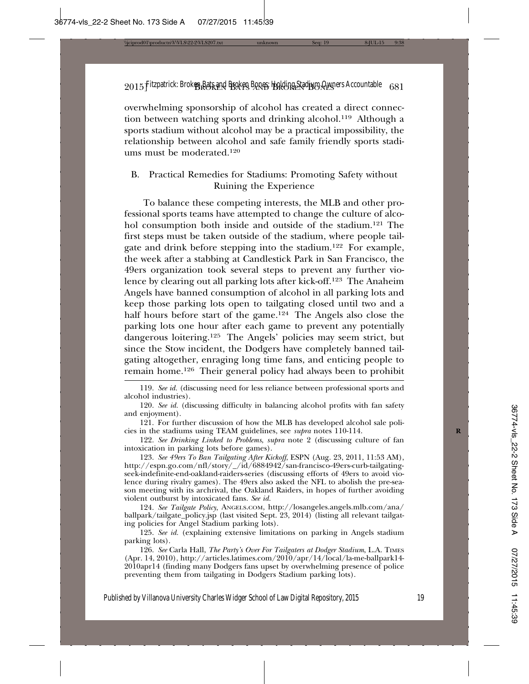overwhelming sponsorship of alcohol has created a direct connection between watching sports and drinking alcohol.119 Although a sports stadium without alcohol may be a practical impossibility, the relationship between alcohol and safe family friendly sports stadiums must be moderated.120

# B. Practical Remedies for Stadiums: Promoting Safety without Ruining the Experience

To balance these competing interests, the MLB and other professional sports teams have attempted to change the culture of alcohol consumption both inside and outside of the stadium.<sup>121</sup> The first steps must be taken outside of the stadium, where people tailgate and drink before stepping into the stadium.122 For example, the week after a stabbing at Candlestick Park in San Francisco, the 49ers organization took several steps to prevent any further violence by clearing out all parking lots after kick-off.123 The Anaheim Angels have banned consumption of alcohol in all parking lots and keep those parking lots open to tailgating closed until two and a half hours before start of the game.<sup>124</sup> The Angels also close the parking lots one hour after each game to prevent any potentially dangerous loitering.125 The Angels' policies may seem strict, but since the Stow incident, the Dodgers have completely banned tailgating altogether, enraging long time fans, and enticing people to remain home.126 Their general policy had always been to prohibit

119. *See id.* (discussing need for less reliance between professional sports and alcohol industries).

121. For further discussion of how the MLB has developed alcohol sale policies in the stadiums using TEAM guidelines, see *supra* notes 110-114. **R**

122. *See Drinking Linked to Problems*, *supra* note 2 (discussing culture of fan intoxication in parking lots before games).

123. *See 49ers To Ban Tailgating After Kickoff*, ESPN (Aug. 23, 2011, 11:53 AM), http://espn.go.com/nfl/story/\_/id/6884942/san-francisco-49ers-curb-tailgatingseek-indefinite-end-oakland-raiders-series (discussing efforts of 49ers to avoid violence during rivalry games). The 49ers also asked the NFL to abolish the pre-season meeting with its archrival, the Oakland Raiders, in hopes of further avoiding violent outburst by intoxicated fans. *See id.*

124. *See Tailgate Policy*, ANGELS.COM, http://losangeles.angels.mlb.com/ana/ ballpark/tailgate\_policy.jsp (last visited Sept. 23, 2014) (listing all relevant tailgating policies for Angel Stadium parking lots).

125. *See id.* (explaining extensive limitations on parking in Angels stadium parking lots).

126. *See* Carla Hall, *The Party's Over For Tailgaters at Dodger Stadium*, L.A. TIMES (Apr. 14, 2010), http://articles.latimes.com/2010/apr/14/local/la-me-ballpark14- 2010apr14 (finding many Dodgers fans upset by overwhelming presence of police preventing them from tailgating in Dodgers Stadium parking lots).

<sup>120.</sup> *See id.* (discussing difficulty in balancing alcohol profits with fan safety and enjoyment).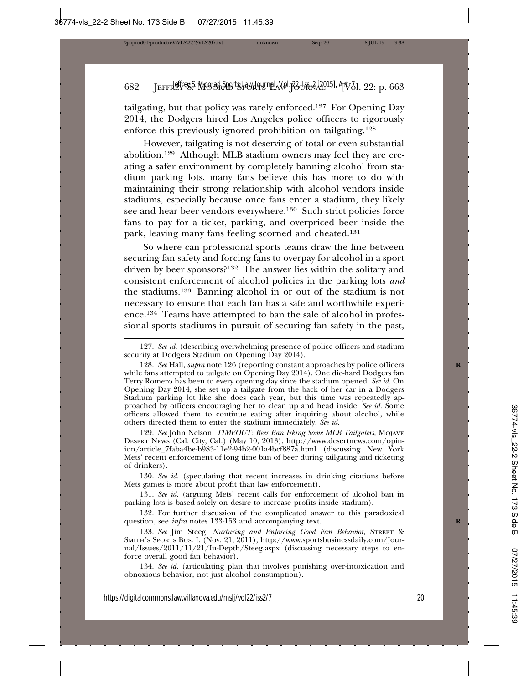tailgating, but that policy was rarely enforced.127 For Opening Day 2014, the Dodgers hired Los Angeles police officers to rigorously enforce this previously ignored prohibition on tailgating.128

However, tailgating is not deserving of total or even substantial abolition.129 Although MLB stadium owners may feel they are creating a safer environment by completely banning alcohol from stadium parking lots, many fans believe this has more to do with maintaining their strong relationship with alcohol vendors inside stadiums, especially because once fans enter a stadium, they likely see and hear beer vendors everywhere.130 Such strict policies force fans to pay for a ticket, parking, and overpriced beer inside the park, leaving many fans feeling scorned and cheated.131

So where can professional sports teams draw the line between securing fan safety and forcing fans to overpay for alcohol in a sport driven by beer sponsors?132 The answer lies within the solitary and consistent enforcement of alcohol policies in the parking lots *and* the stadiums.133 Banning alcohol in or out of the stadium is not necessary to ensure that each fan has a safe and worthwhile experience.134 Teams have attempted to ban the sale of alcohol in professional sports stadiums in pursuit of securing fan safety in the past,

129. *See* John Nelson, *TIMEOUT: Beer Ban Irking Some MLB Tailgaters*, MOJAVE DESERT NEWS (Cal. City, Cal.) (May 10, 2013), http://www.desertnews.com/opinion/article\_7faba4be-b983-11e2-94b2-001a4bcf887a.html (discussing New York Mets' recent enforcement of long time ban of beer during tailgating and ticketing of drinkers).

130. *See id.* (speculating that recent increases in drinking citations before Mets games is more about profit than law enforcement).

131. *See id.* (arguing Mets' recent calls for enforcement of alcohol ban in parking lots is based solely on desire to increase profits inside stadium).

132. For further discussion of the complicated answer to this paradoxical question, see *infra* notes 133-153 and accompanying text. **R**

133. *See* Jim Steeg, *Nurturing and Enforcing Good Fan Behavior*, STREET & SMITH'S SPORTS BUS. J. (Nov. 21, 2011), http://www.sportsbusinessdaily.com/Journal/Issues/2011/11/21/In-Depth/Steeg.aspx (discussing necessary steps to enforce overall good fan behavior).

134. *See id.* (articulating plan that involves punishing over-intoxication and obnoxious behavior, not just alcohol consumption).

<sup>127.</sup> *See id.* (describing overwhelming presence of police officers and stadium security at Dodgers Stadium on Opening Day 2014).

<sup>128.</sup> *See* Hall, *supra* note 126 (reporting constant approaches by police officers while fans attempted to tailgate on Opening Day 2014). One die-hard Dodgers fan Terry Romero has been to every opening day since the stadium opened. *See id.* On Opening Day 2014, she set up a tailgate from the back of her car in a Dodgers Stadium parking lot like she does each year, but this time was repeatedly approached by officers encouraging her to clean up and head inside. *See id.* Some officers allowed them to continue eating after inquiring about alcohol, while others directed them to enter the stadium immediately. *See id.*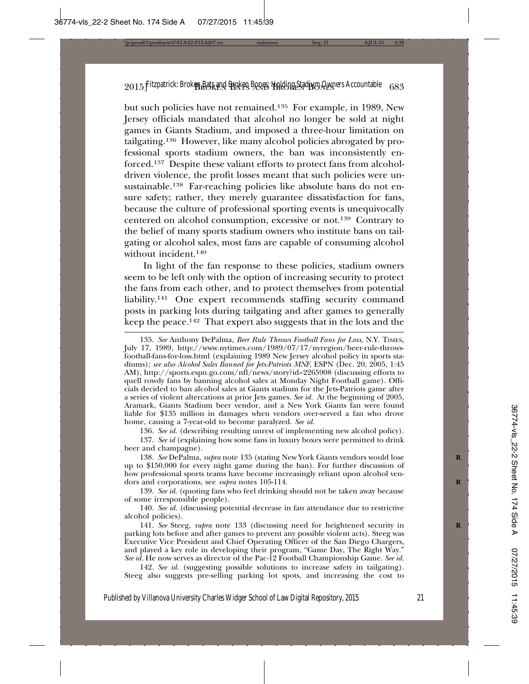but such policies have not remained.135 For example, in 1989, New Jersey officials mandated that alcohol no longer be sold at night games in Giants Stadium, and imposed a three-hour limitation on tailgating.136 However, like many alcohol policies abrogated by professional sports stadium owners, the ban was inconsistently enforced.137 Despite these valiant efforts to protect fans from alcoholdriven violence, the profit losses meant that such policies were unsustainable.138 Far-reaching policies like absolute bans do not ensure safety; rather, they merely guarantee dissatisfaction for fans, because the culture of professional sporting events is unequivocally centered on alcohol consumption, excessive or not.139 Contrary to the belief of many sports stadium owners who institute bans on tailgating or alcohol sales, most fans are capable of consuming alcohol without incident.140

In light of the fan response to these policies, stadium owners seem to be left only with the option of increasing security to protect the fans from each other, and to protect themselves from potential liability.141 One expert recommends staffing security command posts in parking lots during tailgating and after games to generally keep the peace.142 That expert also suggests that in the lots and the

136. *See id.* (describing resulting unrest of implementing new alcohol policy).

138. *See* DePalma, *supra* note 135 (stating New York Giants vendors would lose **R** up to \$150,000 for every night game during the ban). For further discussion of how professional sports teams have become increasingly reliant upon alcohol vendors and corporations, see *supra* notes 105-114. **R**

139. *See id.* (quoting fans who feel drinking should not be taken away because of some irresponsible people).

140. *See id.* (discussing potential decrease in fan attendance due to restrictive alcohol policies).

141. *See* Steeg, *supra* note 133 (discussing need for heightened security in **R** parking lots before and after games to prevent any possible violent acts). Steeg was Executive Vice President and Chief Operating Officer of the San Diego Chargers, and played a key role in developing their program, "Game Day, The Right Way." *See id.* He now serves as director of the Pac-12 Football Championship Game. *See id.*

142. *See id.* (suggesting possible solutions to increase safety in tailgating). Steeg also suggests pre-selling parking lot spots, and increasing the cost to

<sup>135.</sup> *See* Anthony DePalma, *Beer Rule Throws Football Fans for Loss*, N.Y. TIMES, July 17, 1989, http://www.nytimes.com/1989/07/17/nyregion/beer-rule-throwsfootball-fans-for-loss.html (explaining 1989 New Jersey alcohol policy in sports stadiums); *see also Alcohol Sales Banned for Jets-Patriots MNF*, ESPN (Dec. 20, 2005, 1:45 AM), http://sports.espn.go.com/nfl/news/story?id=2265908 (discussing efforts to quell rowdy fans by banning alcohol sales at Monday Night Football game). Officials decided to ban alcohol sales at Giants stadium for the Jets-Patriots game after a series of violent altercations at prior Jets games. *See id.* At the beginning of 2005, Aramark, Giants Stadium beer vendor, and a New York Giants fan were found liable for \$135 million in damages when vendors over-served a fan who drove home, causing a 7-year-old to become paralyzed. *See id.*

<sup>137.</sup> *See id* (explaining how some fans in luxury boxes were permitted to drink beer and champagne).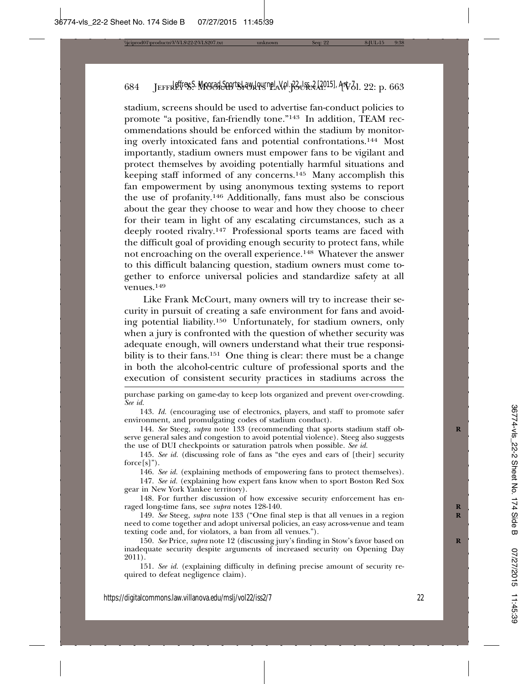stadium, screens should be used to advertise fan-conduct policies to promote "a positive, fan-friendly tone."143 In addition, TEAM recommendations should be enforced within the stadium by monitoring overly intoxicated fans and potential confrontations.144 Most importantly, stadium owners must empower fans to be vigilant and protect themselves by avoiding potentially harmful situations and keeping staff informed of any concerns.145 Many accomplish this fan empowerment by using anonymous texting systems to report the use of profanity.146 Additionally, fans must also be conscious about the gear they choose to wear and how they choose to cheer for their team in light of any escalating circumstances, such as a deeply rooted rivalry.147 Professional sports teams are faced with the difficult goal of providing enough security to protect fans, while not encroaching on the overall experience.148 Whatever the answer to this difficult balancing question, stadium owners must come together to enforce universal policies and standardize safety at all venues.149

Like Frank McCourt, many owners will try to increase their security in pursuit of creating a safe environment for fans and avoiding potential liability.150 Unfortunately, for stadium owners, only when a jury is confronted with the question of whether security was adequate enough, will owners understand what their true responsibility is to their fans.<sup>151</sup> One thing is clear: there must be a change in both the alcohol-centric culture of professional sports and the execution of consistent security practices in stadiums across the

purchase parking on game-day to keep lots organized and prevent over-crowding. *See id.*

145. *See id.* (discussing role of fans as "the eyes and ears of [their] security  $force[s]$ ").

146. *See id.* (explaining methods of empowering fans to protect themselves).

147. *See id.* (explaining how expert fans know when to sport Boston Red Sox gear in New York Yankee territory).

148. For further discussion of how excessive security enforcement has enraged long-time fans, see *supra* notes 128-140. **R**

149. *See* Steeg, *supra* note 133 ("One final step is that all venues in a region **R** need to come together and adopt universal policies, an easy across-venue and team texting code and, for violators, a ban from all venues.").

150. *See* Price, *supra* note 12 (discussing jury's finding in Stow's favor based on **R** inadequate security despite arguments of increased security on Opening Day 2011).

151. *See id.* (explaining difficulty in defining precise amount of security required to defeat negligence claim).

<sup>143.</sup> *Id.* (encouraging use of electronics, players, and staff to promote safer environment, and promulgating codes of stadium conduct).

<sup>144.</sup> See Steeg, *supra* note 133 (recommending that sports stadium staff observe general sales and congestion to avoid potential violence). Steeg also suggests the use of DUI checkpoints or saturation patrols when possible. *See id.*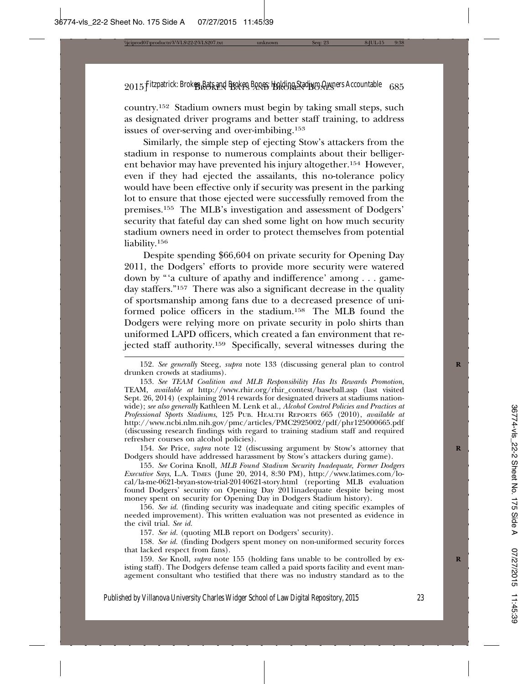country.152 Stadium owners must begin by taking small steps, such as designated driver programs and better staff training, to address issues of over-serving and over-imbibing.153

Similarly, the simple step of ejecting Stow's attackers from the stadium in response to numerous complaints about their belligerent behavior may have prevented his injury altogether.154 However, even if they had ejected the assailants, this no-tolerance policy would have been effective only if security was present in the parking lot to ensure that those ejected were successfully removed from the premises.155 The MLB's investigation and assessment of Dodgers' security that fateful day can shed some light on how much security stadium owners need in order to protect themselves from potential liability.<sup>156</sup>

Despite spending \$66,604 on private security for Opening Day 2011, the Dodgers' efforts to provide more security were watered down by "'a culture of apathy and indifference' among . . . gameday staffers."157 There was also a significant decrease in the quality of sportsmanship among fans due to a decreased presence of uniformed police officers in the stadium.158 The MLB found the Dodgers were relying more on private security in polo shirts than uniformed LAPD officers, which created a fan environment that rejected staff authority.159 Specifically, several witnesses during the

154. *See* Price, *supra* note 12 (discussing argument by Stow's attorney that **R** Dodgers should have addressed harassment by Stow's attackers during game).

155. *See* Corina Knoll, *MLB Found Stadium Security Inadequate, Former Dodgers Executive Says*, L.A. TIMES (June 20, 2014, 8:30 PM), http://www.latimes.com/local/la-me-0621-bryan-stow-trial-20140621-story.html (reporting MLB evaluation found Dodgers' security on Opening Day 2011inadequate despite being most money spent on security for Opening Day in Dodgers Stadium history).

156. *See id.* (finding security was inadequate and citing specific examples of needed improvement). This written evaluation was not presented as evidence in the civil trial. *See id.*

157. *See id.* (quoting MLB report on Dodgers' security).

158. *See id.* (finding Dodgers spent money on non-uniformed security forces that lacked respect from fans).

159. See Knoll, *supra* note 155 (holding fans unable to be controlled by existing staff). The Dodgers defense team called a paid sports facility and event management consultant who testified that there was no industry standard as to the

<sup>152.</sup> See generally Steeg, *supra* note 133 (discussing general plan to control drunken crowds at stadiums).

<sup>153.</sup> *See TEAM Coalition and MLB Responsibility Has Its Rewards Promotion*, TEAM, *available at* http://www.rhir.org/rhir\_contest/baseball.asp (last visited Sept. 26, 2014) (explaining 2014 rewards for designated drivers at stadiums nationwide); *see also generally* Kathleen M. Lenk et al., *Alcohol Control Policies and Practices at Professional Sports Stadiums*, 125 PUB. HEALTH REPORTS 665 (2010), *available at* http://www.ncbi.nlm.nih.gov/pmc/articles/PMC2925002/pdf/phr125000665.pdf (discussing research findings with regard to training stadium staff and required refresher courses on alcohol policies).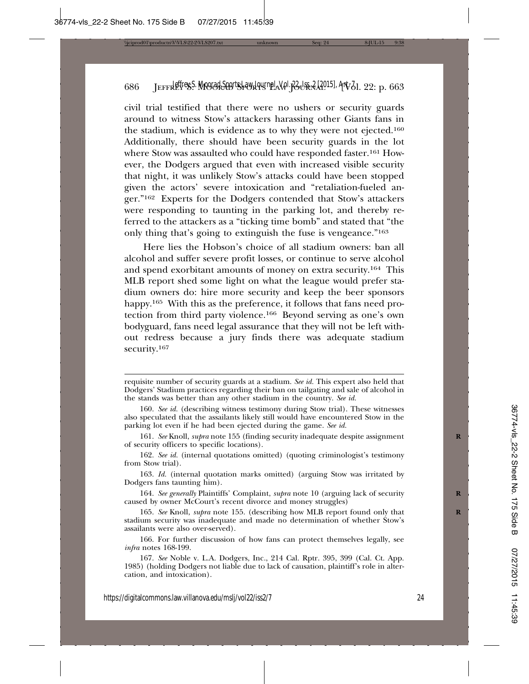civil trial testified that there were no ushers or security guards around to witness Stow's attackers harassing other Giants fans in the stadium, which is evidence as to why they were not ejected.160 Additionally, there should have been security guards in the lot where Stow was assaulted who could have responded faster.<sup>161</sup> However, the Dodgers argued that even with increased visible security that night, it was unlikely Stow's attacks could have been stopped given the actors' severe intoxication and "retaliation-fueled anger."162 Experts for the Dodgers contended that Stow's attackers were responding to taunting in the parking lot, and thereby referred to the attackers as a "ticking time bomb" and stated that "the only thing that's going to extinguish the fuse is vengeance."163

Here lies the Hobson's choice of all stadium owners: ban all alcohol and suffer severe profit losses, or continue to serve alcohol and spend exorbitant amounts of money on extra security.164 This MLB report shed some light on what the league would prefer stadium owners do: hire more security and keep the beer sponsors happy.<sup>165</sup> With this as the preference, it follows that fans need protection from third party violence.166 Beyond serving as one's own bodyguard, fans need legal assurance that they will not be left without redress because a jury finds there was adequate stadium security.<sup>167</sup>

requisite number of security guards at a stadium. *See id.* This expert also held that Dodgers' Stadium practices regarding their ban on tailgating and sale of alcohol in the stands was better than any other stadium in the country. *See id.*

<sup>160.</sup> *See id.* (describing witness testimony during Stow trial). These witnesses also speculated that the assailants likely still would have encountered Stow in the parking lot even if he had been ejected during the game. *See id.*

<sup>161.</sup> *See* Knoll, *supra* note 155 (finding security inadequate despite assignment **R** of security officers to specific locations).

<sup>162.</sup> *See id.* (internal quotations omitted) (quoting criminologist's testimony from Stow trial).

<sup>163.</sup> *Id.* (internal quotation marks omitted) (arguing Stow was irritated by Dodgers fans taunting him).

<sup>164.</sup> *See generally* Plaintiffs' Complaint, *supra* note 10 (arguing lack of security **R** caused by owner McCourt's recent divorce and money struggles)

<sup>165.</sup> *See* Knoll, *supra* note 155. (describing how MLB report found only that **R** stadium security was inadequate and made no determination of whether Stow's assailants were also over-served).

<sup>166.</sup> For further discussion of how fans can protect themselves legally, see *infra* notes 168-199.

<sup>167.</sup> *See* Noble v. L.A. Dodgers, Inc., 214 Cal. Rptr. 395, 399 (Cal. Ct. App. 1985) (holding Dodgers not liable due to lack of causation, plaintiff's role in altercation, and intoxication).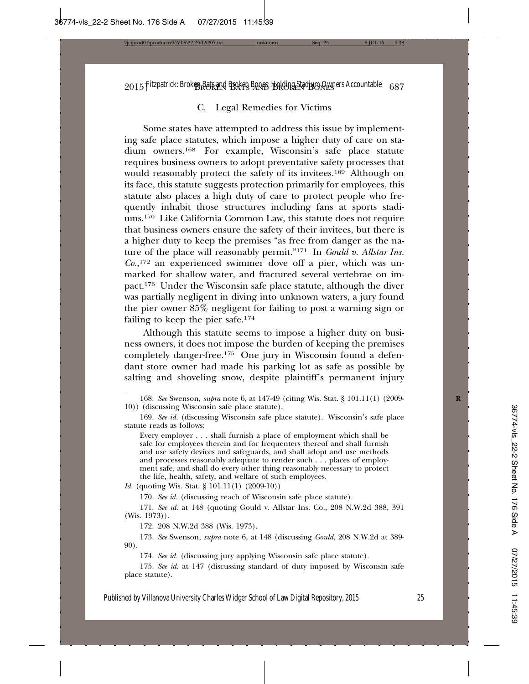## C. Legal Remedies for Victims

Some states have attempted to address this issue by implementing safe place statutes, which impose a higher duty of care on stadium owners.168 For example, Wisconsin's safe place statute requires business owners to adopt preventative safety processes that would reasonably protect the safety of its invitees.<sup>169</sup> Although on its face, this statute suggests protection primarily for employees, this statute also places a high duty of care to protect people who frequently inhabit those structures including fans at sports stadiums.170 Like California Common Law, this statute does not require that business owners ensure the safety of their invitees, but there is a higher duty to keep the premises "as free from danger as the nature of the place will reasonably permit."171 In *Gould v. Allstar Ins. Co.*, 172 an experienced swimmer dove off a pier, which was unmarked for shallow water, and fractured several vertebrae on impact.173 Under the Wisconsin safe place statute, although the diver was partially negligent in diving into unknown waters, a jury found the pier owner 85% negligent for failing to post a warning sign or failing to keep the pier safe.174

Although this statute seems to impose a higher duty on business owners, it does not impose the burden of keeping the premises completely danger-free.175 One jury in Wisconsin found a defendant store owner had made his parking lot as safe as possible by salting and shoveling snow, despite plaintiff's permanent injury

*Id.* (quoting Wis. Stat. § 101.11(1) (2009-10))

170. *See id.* (discussing reach of Wisconsin safe place statute).

171. *See id.* at 148 (quoting Gould v. Allstar Ins. Co., 208 N.W.2d 388, 391 (Wis. 1973)).

172. 208 N.W.2d 388 (Wis. 1973).

173. *See* Swenson, *supra* note 6, at 148 (discussing *Gould*, 208 N.W.2d at 389- 90).

174. *See id.* (discussing jury applying Wisconsin safe place statute).

175. *See id.* at 147 (discussing standard of duty imposed by Wisconsin safe place statute).

<sup>168.</sup> *See* Swenson, *supra* note 6, at 147-49 (citing Wis. Stat. § 101.11(1) (2009- **R** 10)) (discussing Wisconsin safe place statute).

<sup>169.</sup> *See id.* (discussing Wisconsin safe place statute). Wisconsin's safe place statute reads as follows:

Every employer . . . shall furnish a place of employment which shall be safe for employees therein and for frequenters thereof and shall furnish and use safety devices and safeguards, and shall adopt and use methods and processes reasonably adequate to render such . . . places of employment safe, and shall do every other thing reasonably necessary to protect the life, health, safety, and welfare of such employees.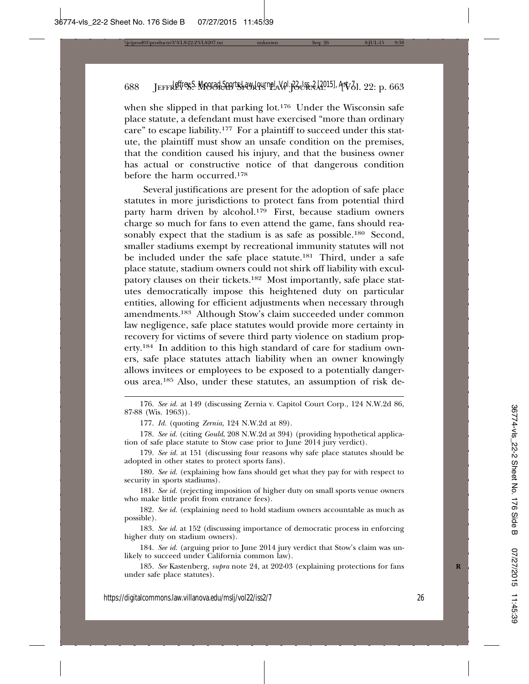when she slipped in that parking lot.<sup>176</sup> Under the Wisconsin safe place statute, a defendant must have exercised "more than ordinary care" to escape liability.<sup>177</sup> For a plaintiff to succeed under this statute, the plaintiff must show an unsafe condition on the premises, that the condition caused his injury, and that the business owner has actual or constructive notice of that dangerous condition before the harm occurred.178

Several justifications are present for the adoption of safe place statutes in more jurisdictions to protect fans from potential third party harm driven by alcohol.<sup>179</sup> First, because stadium owners charge so much for fans to even attend the game, fans should reasonably expect that the stadium is as safe as possible.<sup>180</sup> Second, smaller stadiums exempt by recreational immunity statutes will not be included under the safe place statute.181 Third, under a safe place statute, stadium owners could not shirk off liability with exculpatory clauses on their tickets.182 Most importantly, safe place statutes democratically impose this heightened duty on particular entities, allowing for efficient adjustments when necessary through amendments.183 Although Stow's claim succeeded under common law negligence, safe place statutes would provide more certainty in recovery for victims of severe third party violence on stadium property.184 In addition to this high standard of care for stadium owners, safe place statutes attach liability when an owner knowingly allows invitees or employees to be exposed to a potentially dangerous area.185 Also, under these statutes, an assumption of risk de-

180. *See id.* (explaining how fans should get what they pay for with respect to security in sports stadiums).

181. *See id.* (rejecting imposition of higher duty on small sports venue owners who make little profit from entrance fees).

182. *See id.* (explaining need to hold stadium owners accountable as much as possible).

183. *See id.* at 152 (discussing importance of democratic process in enforcing higher duty on stadium owners).

184. *See id.* (arguing prior to June 2014 jury verdict that Stow's claim was unlikely to succeed under California common law).

185. *See* Kastenberg, *supra* note 24, at 202-03 (explaining protections for fans **R** under safe place statutes).

<sup>176.</sup> *See id.* at 149 (discussing Zernia v. Capitol Court Corp*.*, 124 N.W.2d 86, 87-88 (Wis. 1963)).

<sup>177.</sup> *Id.* (quoting *Zernia*, 124 N.W.2d at 89).

<sup>178.</sup> *See id.* (citing *Gould*, 208 N.W.2d at 394) (providing hypothetical application of safe place statute to Stow case prior to June 2014 jury verdict).

<sup>179.</sup> *See id.* at 151 (discussing four reasons why safe place statutes should be adopted in other states to protect sports fans).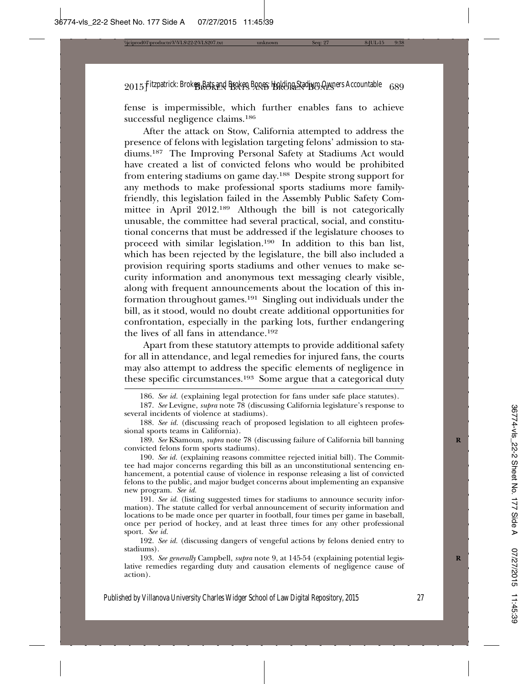fense is impermissible, which further enables fans to achieve successful negligence claims.186

After the attack on Stow, California attempted to address the presence of felons with legislation targeting felons' admission to stadiums.187 The Improving Personal Safety at Stadiums Act would have created a list of convicted felons who would be prohibited from entering stadiums on game day.188 Despite strong support for any methods to make professional sports stadiums more familyfriendly, this legislation failed in the Assembly Public Safety Committee in April 2012.189 Although the bill is not categorically unusable, the committee had several practical, social, and constitutional concerns that must be addressed if the legislature chooses to proceed with similar legislation.190 In addition to this ban list, which has been rejected by the legislature, the bill also included a provision requiring sports stadiums and other venues to make security information and anonymous text messaging clearly visible, along with frequent announcements about the location of this information throughout games.191 Singling out individuals under the bill, as it stood, would no doubt create additional opportunities for confrontation, especially in the parking lots, further endangering the lives of all fans in attendance.192

Apart from these statutory attempts to provide additional safety for all in attendance, and legal remedies for injured fans, the courts may also attempt to address the specific elements of negligence in these specific circumstances.193 Some argue that a categorical duty

186. *See id.* (explaining legal protection for fans under safe place statutes).

189. *See* KSamoun, *supra* note 78 (discussing failure of California bill banning **R** convicted felons form sports stadiums).

190. *See id.* (explaining reasons committee rejected initial bill). The Committee had major concerns regarding this bill as an unconstitutional sentencing enhancement, a potential cause of violence in response releasing a list of convicted felons to the public, and major budget concerns about implementing an expansive new program. *See id.*

191. See id. (listing suggested times for stadiums to announce security information). The statute called for verbal announcement of security information and locations to be made once per quarter in football, four times per game in baseball, once per period of hockey, and at least three times for any other professional sport. *See id.*

192. *See id.* (discussing dangers of vengeful actions by felons denied entry to stadiums).

193. *See generally* Campbell, *supra* note 9, at 145-54 (explaining potential legis- **R** lative remedies regarding duty and causation elements of negligence cause of action).

<sup>187.</sup> *See* Levigne, *supra* note 78 (discussing California legislature's response to several incidents of violence at stadiums).

<sup>188.</sup> *See id.* (discussing reach of proposed legislation to all eighteen professional sports teams in California).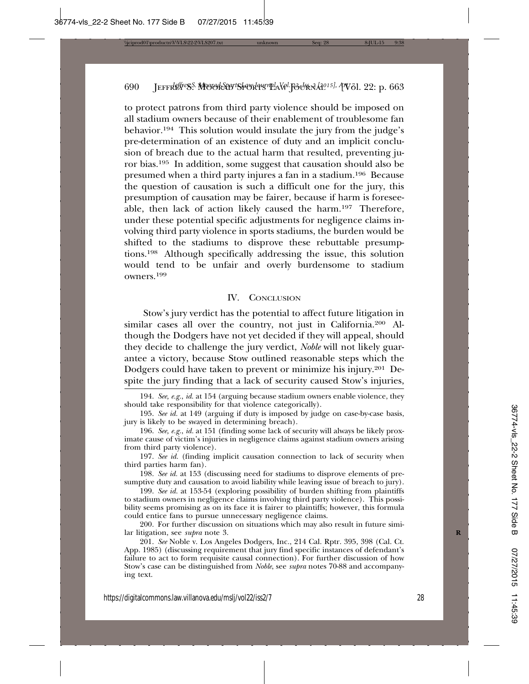to protect patrons from third party violence should be imposed on all stadium owners because of their enablement of troublesome fan behavior.194 This solution would insulate the jury from the judge's pre-determination of an existence of duty and an implicit conclusion of breach due to the actual harm that resulted, preventing juror bias.195 In addition, some suggest that causation should also be presumed when a third party injures a fan in a stadium.196 Because the question of causation is such a difficult one for the jury, this presumption of causation may be fairer, because if harm is foreseeable, then lack of action likely caused the harm.197 Therefore, under these potential specific adjustments for negligence claims involving third party violence in sports stadiums, the burden would be shifted to the stadiums to disprove these rebuttable presumptions.198 Although specifically addressing the issue, this solution would tend to be unfair and overly burdensome to stadium owners.199

#### IV. CONCLUSION

Stow's jury verdict has the potential to affect future litigation in similar cases all over the country, not just in California.200 Although the Dodgers have not yet decided if they will appeal, should they decide to challenge the jury verdict, *Noble* will not likely guarantee a victory, because Stow outlined reasonable steps which the Dodgers could have taken to prevent or minimize his injury.201 Despite the jury finding that a lack of security caused Stow's injuries,

<sup>194.</sup> *See, e.g.*, *id.* at 154 (arguing because stadium owners enable violence, they should take responsibility for that violence categorically).

<sup>195.</sup> *See id.* at 149 (arguing if duty is imposed by judge on case-by-case basis, jury is likely to be swayed in determining breach).

<sup>196.</sup> *See, e.g.*, *id.* at 151 (finding some lack of security will always be likely proximate cause of victim's injuries in negligence claims against stadium owners arising from third party violence).

<sup>197.</sup> *See id.* (finding implicit causation connection to lack of security when third parties harm fan).

<sup>198.</sup> *See id.* at 153 (discussing need for stadiums to disprove elements of presumptive duty and causation to avoid liability while leaving issue of breach to jury).

<sup>199.</sup> *See id.* at 153-54 (exploring possibility of burden shifting from plaintiffs to stadium owners in negligence claims involving third party violence). This possibility seems promising as on its face it is fairer to plaintiffs; however, this formula could entice fans to pursue unnecessary negligence claims.

<sup>200.</sup> For further discussion on situations which may also result in future similar litigation, see *supra* note 3. **R**

<sup>201.</sup> *See* Noble v. Los Angeles Dodgers, Inc., 214 Cal. Rptr. 395, 398 (Cal. Ct. App. 1985) (discussing requirement that jury find specific instances of defendant's failure to act to form requisite causal connection). For further discussion of how Stow's case can be distinguished from *Noble*, see *supra* notes 70-88 and accompanying text.